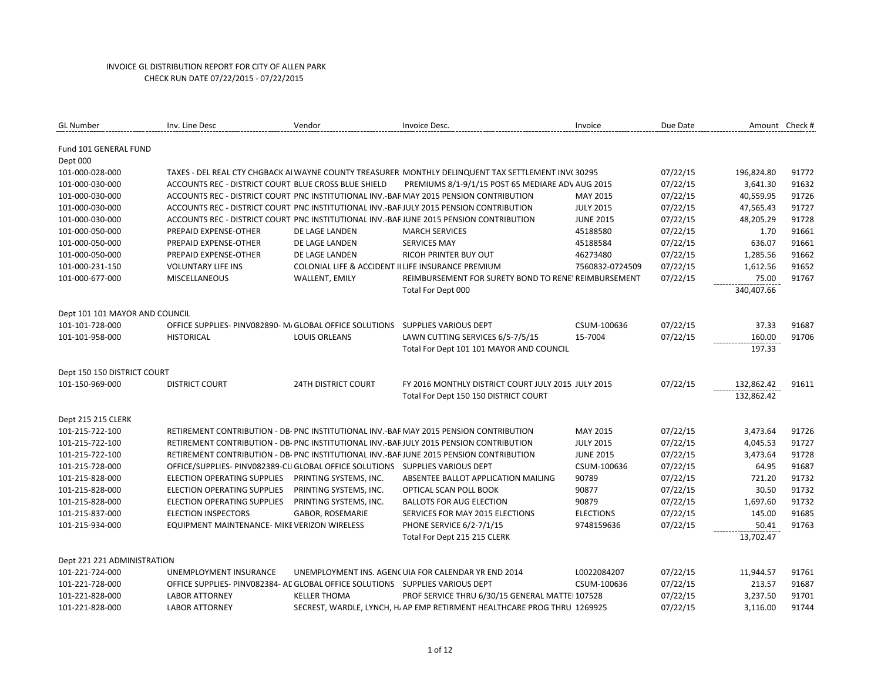| <b>GL Number</b>                  | Inv. Line Desc                                                                 | Vendor                                             | Invoice Desc.                                                                                      | Invoice          | Due Date | Amount Check # |       |
|-----------------------------------|--------------------------------------------------------------------------------|----------------------------------------------------|----------------------------------------------------------------------------------------------------|------------------|----------|----------------|-------|
| Fund 101 GENERAL FUND<br>Dept 000 |                                                                                |                                                    |                                                                                                    |                  |          |                |       |
| 101-000-028-000                   |                                                                                |                                                    | TAXES - DEL REAL CTY CHGBACK AI WAYNE COUNTY TREASURER MONTHLY DELINQUENT TAX SETTLEMENT INV(30295 |                  | 07/22/15 | 196,824.80     | 91772 |
| 101-000-030-000                   | ACCOUNTS REC - DISTRICT COURT BLUE CROSS BLUE SHIELD                           |                                                    | PREMIUMS 8/1-9/1/15 POST 65 MEDIARE ADV AUG 2015                                                   |                  | 07/22/15 | 3,641.30       | 91632 |
| 101-000-030-000                   |                                                                                |                                                    | ACCOUNTS REC - DISTRICT COURT PNC INSTITUTIONAL INV.-BAF MAY 2015 PENSION CONTRIBUTION             | MAY 2015         | 07/22/15 | 40,559.95      | 91726 |
| 101-000-030-000                   |                                                                                |                                                    | ACCOUNTS REC - DISTRICT COURT PNC INSTITUTIONAL INV.-BAFJULY 2015 PENSION CONTRIBUTION             | <b>JULY 2015</b> | 07/22/15 | 47,565.43      | 91727 |
| 101-000-030-000                   |                                                                                |                                                    | ACCOUNTS REC - DISTRICT COURT PNC INSTITUTIONAL INV.-BAF JUNE 2015 PENSION CONTRIBUTION            | <b>JUNE 2015</b> | 07/22/15 | 48,205.29      | 91728 |
| 101-000-050-000                   | PREPAID EXPENSE-OTHER                                                          | DE LAGE LANDEN                                     | <b>MARCH SERVICES</b>                                                                              | 45188580         | 07/22/15 | 1.70           | 91661 |
| 101-000-050-000                   | PREPAID EXPENSE-OTHER                                                          | DE LAGE LANDEN                                     | <b>SERVICES MAY</b>                                                                                | 45188584         | 07/22/15 | 636.07         | 91661 |
| 101-000-050-000                   | PREPAID EXPENSE-OTHER                                                          | DE LAGE LANDEN                                     | RICOH PRINTER BUY OUT                                                                              | 46273480         | 07/22/15 | 1,285.56       | 91662 |
| 101-000-231-150                   | <b>VOLUNTARY LIFE INS</b>                                                      | COLONIAL LIFE & ACCIDENT II LIFE INSURANCE PREMIUM |                                                                                                    | 7560832-0724509  | 07/22/15 | 1,612.56       | 91652 |
| 101-000-677-000                   | MISCELLANEOUS                                                                  | WALLENT, EMILY                                     | REIMBURSEMENT FOR SURETY BOND TO RENE' REIMBURSEMENT                                               |                  | 07/22/15 | 75.00          | 91767 |
|                                   |                                                                                |                                                    | Total For Dept 000                                                                                 |                  |          | 340,407.66     |       |
| Dept 101 101 MAYOR AND COUNCIL    |                                                                                |                                                    |                                                                                                    |                  |          |                |       |
| 101-101-728-000                   | OFFICE SUPPLIES- PINV082890- M/ GLOBAL OFFICE SOLUTIONS SUPPLIES VARIOUS DEPT  |                                                    |                                                                                                    | CSUM-100636      | 07/22/15 | 37.33          | 91687 |
| 101-101-958-000                   | <b>HISTORICAL</b>                                                              | <b>LOUIS ORLEANS</b>                               | LAWN CUTTING SERVICES 6/5-7/5/15                                                                   | 15-7004          | 07/22/15 | 160.00         | 91706 |
|                                   |                                                                                |                                                    | Total For Dept 101 101 MAYOR AND COUNCIL                                                           |                  |          | 197.33         |       |
|                                   |                                                                                |                                                    |                                                                                                    |                  |          |                |       |
| Dept 150 150 DISTRICT COURT       |                                                                                |                                                    |                                                                                                    |                  |          |                |       |
| 101-150-969-000                   | <b>DISTRICT COURT</b>                                                          | <b>24TH DISTRICT COURT</b>                         | FY 2016 MONTHLY DISTRICT COURT JULY 2015 JULY 2015                                                 |                  | 07/22/15 | 132,862.42     | 91611 |
|                                   |                                                                                |                                                    | Total For Dept 150 150 DISTRICT COURT                                                              |                  |          | 132,862.42     |       |
| Dept 215 215 CLERK                |                                                                                |                                                    |                                                                                                    |                  |          |                |       |
| 101-215-722-100                   |                                                                                |                                                    | RETIREMENT CONTRIBUTION - DB- PNC INSTITUTIONAL INV.-BAF MAY 2015 PENSION CONTRIBUTION             | MAY 2015         | 07/22/15 | 3,473.64       | 91726 |
| 101-215-722-100                   |                                                                                |                                                    | RETIREMENT CONTRIBUTION - DB- PNC INSTITUTIONAL INV.-BAF JULY 2015 PENSION CONTRIBUTION            | <b>JULY 2015</b> | 07/22/15 | 4,045.53       | 91727 |
| 101-215-722-100                   |                                                                                |                                                    | RETIREMENT CONTRIBUTION - DB- PNC INSTITUTIONAL INV.-BAF JUNE 2015 PENSION CONTRIBUTION            | <b>JUNE 2015</b> | 07/22/15 | 3,473.64       | 91728 |
| 101-215-728-000                   | OFFICE/SUPPLIES- PINV082389-CLI GLOBAL OFFICE SOLUTIONS  SUPPLIES VARIOUS DEPT |                                                    |                                                                                                    | CSUM-100636      | 07/22/15 | 64.95          | 91687 |
| 101-215-828-000                   | ELECTION OPERATING SUPPLIES                                                    | PRINTING SYSTEMS, INC.                             | ABSENTEE BALLOT APPLICATION MAILING                                                                | 90789            | 07/22/15 | 721.20         | 91732 |
| 101-215-828-000                   | ELECTION OPERATING SUPPLIES                                                    | PRINTING SYSTEMS, INC.                             | OPTICAL SCAN POLL BOOK                                                                             | 90877            | 07/22/15 | 30.50          | 91732 |
| 101-215-828-000                   | ELECTION OPERATING SUPPLIES                                                    | PRINTING SYSTEMS, INC.                             | <b>BALLOTS FOR AUG ELECTION</b>                                                                    | 90879            | 07/22/15 | 1,697.60       | 91732 |
| 101-215-837-000                   | <b>ELECTION INSPECTORS</b>                                                     | <b>GABOR, ROSEMARIE</b>                            | SERVICES FOR MAY 2015 ELECTIONS                                                                    | <b>ELECTIONS</b> | 07/22/15 | 145.00         | 91685 |
| 101-215-934-000                   | EQUIPMENT MAINTENANCE- MIKE VERIZON WIRELESS                                   |                                                    | PHONE SERVICE 6/2-7/1/15                                                                           | 9748159636       | 07/22/15 | 50.41          | 91763 |
|                                   |                                                                                |                                                    | Total For Dept 215 215 CLERK                                                                       |                  |          | 13,702.47      |       |
|                                   |                                                                                |                                                    |                                                                                                    |                  |          |                |       |
| Dept 221 221 ADMINISTRATION       |                                                                                |                                                    |                                                                                                    |                  |          |                |       |
| 101-221-724-000                   | UNEMPLOYMENT INSURANCE                                                         |                                                    | UNEMPLOYMENT INS. AGENCUIA FOR CALENDAR YR END 2014                                                | L0022084207      | 07/22/15 | 11,944.57      | 91761 |
| 101-221-728-000                   | OFFICE SUPPLIES- PINV082384- AC GLOBAL OFFICE SOLUTIONS SUPPLIES VARIOUS DEPT  |                                                    |                                                                                                    | CSUM-100636      | 07/22/15 | 213.57         | 91687 |
| 101-221-828-000                   | <b>LABOR ATTORNEY</b>                                                          | <b>KELLER THOMA</b>                                | PROF SERVICE THRU 6/30/15 GENERAL MATTEI 107528                                                    |                  | 07/22/15 | 3,237.50       | 91701 |
| 101-221-828-000                   | <b>LABOR ATTORNEY</b>                                                          |                                                    | SECREST, WARDLE, LYNCH, H, AP EMP RETIRMENT HEALTHCARE PROG THRU 1269925                           |                  | 07/22/15 | 3,116.00       | 91744 |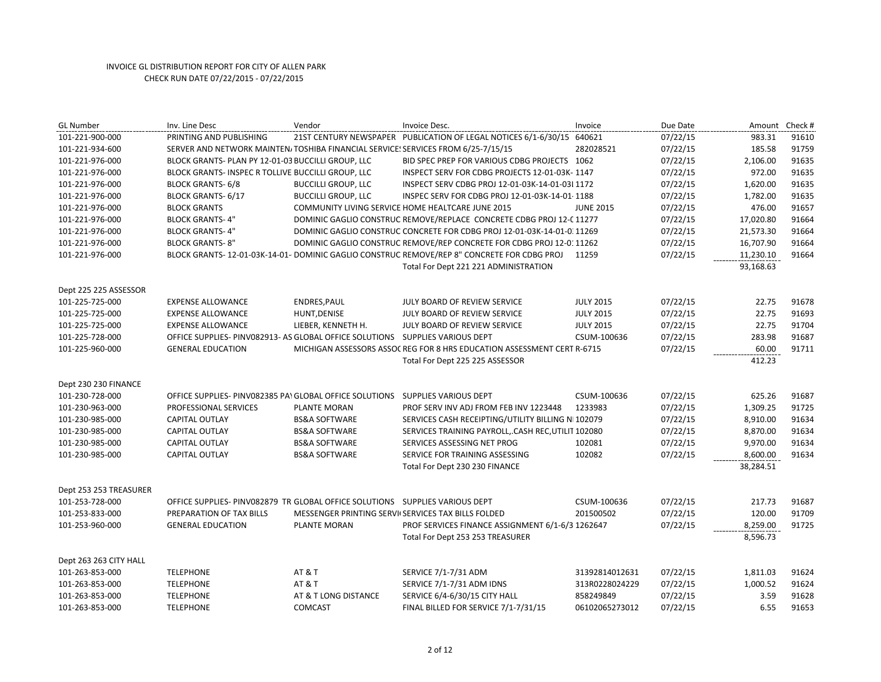| <b>GL Number</b>       | Inv. Line Desc                                                                   | Vendor                                       | Invoice Desc.                                                                                | Invoice          | Due Date | Amount Check # |       |
|------------------------|----------------------------------------------------------------------------------|----------------------------------------------|----------------------------------------------------------------------------------------------|------------------|----------|----------------|-------|
| 101-221-900-000        | PRINTING AND PUBLISHING                                                          |                                              | 21ST CENTURY NEWSPAPER PUBLICATION OF LEGAL NOTICES 6/1-6/30/15 640621                       |                  | 07/22/15 | 983.31         | 91610 |
| 101-221-934-600        | SERVER AND NETWORK MAINTEN/TOSHIBA FINANCIAL SERVICE! SERVICES FROM 6/25-7/15/15 |                                              |                                                                                              | 282028521        | 07/22/15 | 185.58         | 91759 |
| 101-221-976-000        | BLOCK GRANTS- PLAN PY 12-01-03 BUCCILLI GROUP, LLC                               |                                              | BID SPEC PREP FOR VARIOUS CDBG PROJECTS 1062                                                 |                  | 07/22/15 | 2,106.00       | 91635 |
| 101-221-976-000        | BLOCK GRANTS- INSPEC R TOLLIVE BUCCILLI GROUP, LLC                               |                                              | INSPECT SERV FOR CDBG PROJECTS 12-01-03K-1147                                                |                  | 07/22/15 | 972.00         | 91635 |
| 101-221-976-000        | <b>BLOCK GRANTS-6/8</b>                                                          | <b>BUCCILLI GROUP, LLC</b>                   | INSPECT SERV CDBG PROJ 12-01-03K-14-01-03I 1172                                              |                  | 07/22/15 | 1,620.00       | 91635 |
| 101-221-976-000        | <b>BLOCK GRANTS-6/17</b>                                                         | <b>BUCCILLI GROUP, LLC</b>                   | INSPEC SERV FOR CDBG PROJ 12-01-03K-14-01 1188                                               |                  | 07/22/15 | 1,782.00       | 91635 |
| 101-221-976-000        | <b>BLOCK GRANTS</b>                                                              |                                              | COMMUNITY LIVING SERVICE HOME HEALTCARE JUNE 2015                                            | <b>JUNE 2015</b> | 07/22/15 | 476.00         | 91657 |
| 101-221-976-000        | <b>BLOCK GRANTS-4"</b>                                                           |                                              | DOMINIC GAGLIO CONSTRUC REMOVE/REPLACE CONCRETE CDBG PROJ 12-C 11277                         |                  | 07/22/15 | 17,020.80      | 91664 |
| 101-221-976-000        | <b>BLOCK GRANTS-4"</b>                                                           |                                              | DOMINIC GAGLIO CONSTRUC CONCRETE FOR CDBG PROJ 12-01-03K-14-01-0 11269                       |                  | 07/22/15 | 21,573.30      | 91664 |
| 101-221-976-000        | <b>BLOCK GRANTS-8"</b>                                                           |                                              | DOMINIC GAGLIO CONSTRUC REMOVE/REP CONCRETE FOR CDBG PROJ 12-0: 11262                        |                  | 07/22/15 | 16,707.90      | 91664 |
| 101-221-976-000        |                                                                                  |                                              | BLOCK GRANTS- 12-01-03K-14-01-I DOMINIC GAGLIO CONSTRUC REMOVE/REP 8" CONCRETE FOR CDBG PROJ | 11259            | 07/22/15 | 11,230.10      | 91664 |
|                        |                                                                                  |                                              | Total For Dept 221 221 ADMINISTRATION                                                        |                  |          | 93,168.63      |       |
| Dept 225 225 ASSESSOR  |                                                                                  |                                              |                                                                                              |                  |          |                |       |
| 101-225-725-000        | <b>EXPENSE ALLOWANCE</b>                                                         | ENDRES, PAUL                                 | JULY BOARD OF REVIEW SERVICE                                                                 | <b>JULY 2015</b> | 07/22/15 | 22.75          | 91678 |
| 101-225-725-000        | <b>EXPENSE ALLOWANCE</b>                                                         | HUNT, DENISE                                 | JULY BOARD OF REVIEW SERVICE                                                                 | <b>JULY 2015</b> | 07/22/15 | 22.75          | 91693 |
| 101-225-725-000        | <b>EXPENSE ALLOWANCE</b>                                                         | LIEBER, KENNETH H.                           | JULY BOARD OF REVIEW SERVICE                                                                 | <b>JULY 2015</b> | 07/22/15 | 22.75          | 91704 |
| 101-225-728-000        | OFFICE SUPPLIES- PINV082913- AS GLOBAL OFFICE SOLUTIONS SUPPLIES VARIOUS DEPT    |                                              |                                                                                              | CSUM-100636      | 07/22/15 | 283.98         | 91687 |
| 101-225-960-000        | <b>GENERAL EDUCATION</b>                                                         |                                              | MICHIGAN ASSESSORS ASSOC REG FOR 8 HRS EDUCATION ASSESSMENT CERT R-6715                      |                  | 07/22/15 | 60.00          | 91711 |
|                        |                                                                                  |                                              | Total For Dept 225 225 ASSESSOR                                                              |                  |          | 412.23         |       |
|                        |                                                                                  |                                              |                                                                                              |                  |          |                |       |
| Dept 230 230 FINANCE   |                                                                                  |                                              |                                                                                              |                  |          |                |       |
| 101-230-728-000        | OFFICE SUPPLIES- PINV082385 PA\ GLOBAL OFFICE SOLUTIONS  SUPPLIES VARIOUS DEPT   |                                              |                                                                                              | CSUM-100636      | 07/22/15 | 625.26         | 91687 |
| 101-230-963-000        | PROFESSIONAL SERVICES                                                            | PLANTE MORAN                                 | PROF SERV INV ADJ FROM FEB INV 1223448                                                       | 1233983          | 07/22/15 | 1,309.25       | 91725 |
| 101-230-985-000        | <b>CAPITAL OUTLAY</b>                                                            | <b>BS&amp;A SOFTWARE</b>                     | SERVICES CASH RECEIPTING/UTILITY BILLING N 102079                                            |                  | 07/22/15 | 8,910.00       | 91634 |
| 101-230-985-000        | CAPITAL OUTLAY                                                                   | <b>BS&amp;A SOFTWARE</b>                     | SERVICES TRAINING PAYROLL, CASH REC, UTILIT 102080                                           |                  | 07/22/15 | 8,870.00       | 91634 |
| 101-230-985-000        | <b>CAPITAL OUTLAY</b>                                                            | <b>BS&amp;A SOFTWARE</b>                     | SERVICES ASSESSING NET PROG                                                                  | 102081           | 07/22/15 | 9,970.00       | 91634 |
| 101-230-985-000        | <b>CAPITAL OUTLAY</b>                                                            | <b>BS&amp;A SOFTWARE</b>                     | SERVICE FOR TRAINING ASSESSING                                                               | 102082           | 07/22/15 | 8,600.00       | 91634 |
|                        |                                                                                  |                                              | Total For Dept 230 230 FINANCE                                                               |                  |          | 38,284.51      |       |
| Dept 253 253 TREASURER |                                                                                  |                                              |                                                                                              |                  |          |                |       |
| 101-253-728-000        | OFFICE SUPPLIES- PINV082879 TR GLOBAL OFFICE SOLUTIONS  SUPPLIES VARIOUS DEPT    |                                              |                                                                                              | CSUM-100636      | 07/22/15 | 217.73         | 91687 |
| 101-253-833-000        | PREPARATION OF TAX BILLS                                                         | MESSENGER PRINTING SERVICES TAX BILLS FOLDED |                                                                                              | 201500502        | 07/22/15 | 120.00         | 91709 |
| 101-253-960-000        | <b>GENERAL EDUCATION</b>                                                         | <b>PLANTE MORAN</b>                          | PROF SERVICES FINANCE ASSIGNMENT 6/1-6/3 1262647                                             |                  | 07/22/15 | 8,259.00       | 91725 |
|                        |                                                                                  |                                              | Total For Dept 253 253 TREASURER                                                             |                  |          | 8,596.73       |       |
|                        |                                                                                  |                                              |                                                                                              |                  |          |                |       |
| Dept 263 263 CITY HALL |                                                                                  |                                              |                                                                                              |                  |          |                |       |
| 101-263-853-000        | <b>TELEPHONE</b>                                                                 | <b>AT &amp; T</b>                            | SERVICE 7/1-7/31 ADM                                                                         | 31392814012631   | 07/22/15 | 1,811.03       | 91624 |
| 101-263-853-000        | <b>TELEPHONE</b>                                                                 | <b>AT &amp; T</b>                            | SERVICE 7/1-7/31 ADM IDNS                                                                    | 313R0228024229   | 07/22/15 | 1,000.52       | 91624 |
| 101-263-853-000        | <b>TELEPHONE</b>                                                                 | AT & T LONG DISTANCE                         | SERVICE 6/4-6/30/15 CITY HALL                                                                | 858249849        | 07/22/15 | 3.59           | 91628 |
| 101-263-853-000        | <b>TELEPHONE</b>                                                                 | <b>COMCAST</b>                               | FINAL BILLED FOR SERVICE 7/1-7/31/15                                                         | 06102065273012   | 07/22/15 | 6.55           | 91653 |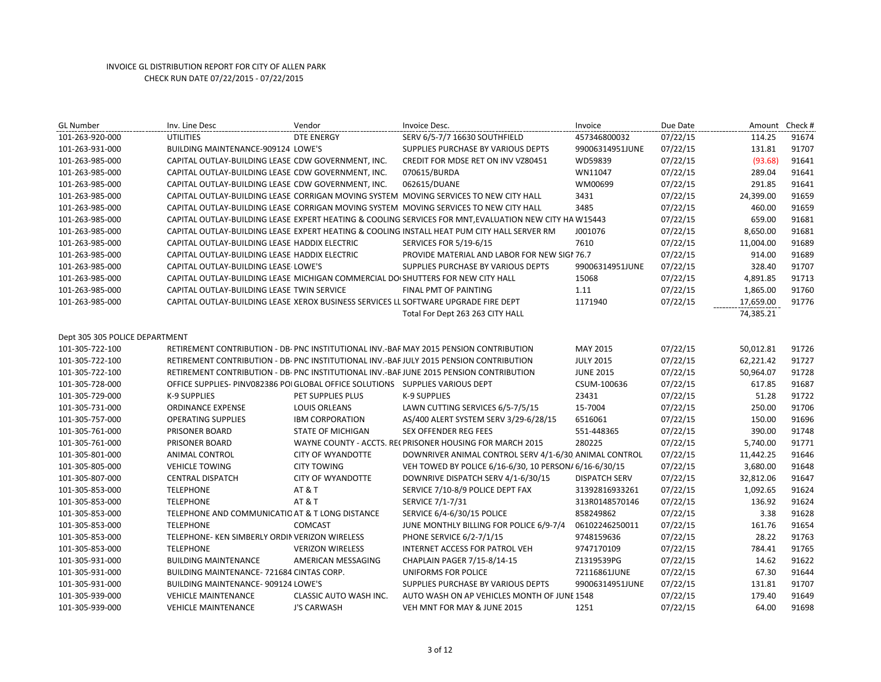| <b>GL Number</b>               | Inv. Line Desc                                                                      | Vendor                   | Invoice Desc.                                                                                          | Invoice              | Due Date | Amount Check # |       |
|--------------------------------|-------------------------------------------------------------------------------------|--------------------------|--------------------------------------------------------------------------------------------------------|----------------------|----------|----------------|-------|
| 101-263-920-000                | <b>UTILITIES</b>                                                                    | <b>DTE ENERGY</b>        | SERV 6/5-7/7 16630 SOUTHFIELD                                                                          | 457346800032         | 07/22/15 | 114.25         | 91674 |
| 101-263-931-000                | BUILDING MAINTENANCE-909124 LOWE'S                                                  |                          | SUPPLIES PURCHASE BY VARIOUS DEPTS                                                                     | 99006314951JUNE      | 07/22/15 | 131.81         | 91707 |
| 101-263-985-000                | CAPITAL OUTLAY-BUILDING LEASE CDW GOVERNMENT, INC.                                  |                          | CREDIT FOR MDSE RET ON INV VZ80451                                                                     | WD59839              | 07/22/15 | (93.68)        | 91641 |
| 101-263-985-000                | CAPITAL OUTLAY-BUILDING LEASE CDW GOVERNMENT, INC.                                  |                          | 070615/BURDA                                                                                           | WN11047              | 07/22/15 | 289.04         | 91641 |
| 101-263-985-000                | CAPITAL OUTLAY-BUILDING LEASE CDW GOVERNMENT, INC.                                  |                          | 062615/DUANE                                                                                           | WM00699              | 07/22/15 | 291.85         | 91641 |
| 101-263-985-000                |                                                                                     |                          | CAPITAL OUTLAY-BUILDING LEASE CORRIGAN MOVING SYSTEM MOVING SERVICES TO NEW CITY HALL                  | 3431                 | 07/22/15 | 24,399.00      | 91659 |
| 101-263-985-000                |                                                                                     |                          | CAPITAL OUTLAY-BUILDING LEASE CORRIGAN MOVING SYSTEM MOVING SERVICES TO NEW CITY HALL                  | 3485                 | 07/22/15 | 460.00         | 91659 |
| 101-263-985-000                |                                                                                     |                          | CAPITAL OUTLAY-BUILDING LEASE EXPERT HEATING & COOLING SERVICES FOR MNT, EVALUATION NEW CITY HA W15443 |                      | 07/22/15 | 659.00         | 91681 |
| 101-263-985-000                |                                                                                     |                          | CAPITAL OUTLAY-BUILDING LEASE EXPERT HEATING & COOLING INSTALL HEAT PUM CITY HALL SERVER RM            | J001076              | 07/22/15 | 8,650.00       | 91681 |
| 101-263-985-000                | CAPITAL OUTLAY-BUILDING LEASE HADDIX ELECTRIC                                       |                          | <b>SERVICES FOR 5/19-6/15</b>                                                                          | 7610                 | 07/22/15 | 11,004.00      | 91689 |
| 101-263-985-000                | CAPITAL OUTLAY-BUILDING LEASE HADDIX ELECTRIC                                       |                          | PROVIDE MATERIAL AND LABOR FOR NEW SIGN 76.7                                                           |                      | 07/22/15 | 914.00         | 91689 |
| 101-263-985-000                | CAPITAL OUTLAY-BUILDING LEASE LOWE'S                                                |                          | SUPPLIES PURCHASE BY VARIOUS DEPTS                                                                     | 99006314951JUNE      | 07/22/15 | 328.40         | 91707 |
| 101-263-985-000                | CAPITAL OUTLAY-BUILDING LEASE MICHIGAN COMMERCIAL DO SHUTTERS FOR NEW CITY HALL     |                          |                                                                                                        | 15068                | 07/22/15 | 4,891.85       | 91713 |
| 101-263-985-000                | CAPITAL OUTLAY-BUILDING LEASE TWIN SERVICE                                          |                          | <b>FINAL PMT OF PAINTING</b>                                                                           | 1.11                 | 07/22/15 | 1,865.00       | 91760 |
| 101-263-985-000                | CAPITAL OUTLAY-BUILDING LEASE XEROX BUSINESS SERVICES LL SOFTWARE UPGRADE FIRE DEPT |                          |                                                                                                        | 1171940              | 07/22/15 | 17,659.00      | 91776 |
|                                |                                                                                     |                          | Total For Dept 263 263 CITY HALL                                                                       |                      |          | 74,385.21      |       |
|                                |                                                                                     |                          |                                                                                                        |                      |          |                |       |
| Dept 305 305 POLICE DEPARTMENT |                                                                                     |                          |                                                                                                        |                      |          |                |       |
| 101-305-722-100                |                                                                                     |                          | RETIREMENT CONTRIBUTION - DB- PNC INSTITUTIONAL INV.-BAF MAY 2015 PENSION CONTRIBUTION                 | MAY 2015             | 07/22/15 | 50,012.81      | 91726 |
| 101-305-722-100                |                                                                                     |                          | RETIREMENT CONTRIBUTION - DB- PNC INSTITUTIONAL INV.-BAF JULY 2015 PENSION CONTRIBUTION                | <b>JULY 2015</b>     | 07/22/15 | 62,221.42      | 91727 |
| 101-305-722-100                |                                                                                     |                          | RETIREMENT CONTRIBUTION - DB- PNC INSTITUTIONAL INV.-BAF JUNE 2015 PENSION CONTRIBUTION                | <b>JUNE 2015</b>     | 07/22/15 | 50,964.07      | 91728 |
| 101-305-728-000                | OFFICE SUPPLIES- PINV082386 POI GLOBAL OFFICE SOLUTIONS  SUPPLIES VARIOUS DEPT      |                          |                                                                                                        | CSUM-100636          | 07/22/15 | 617.85         | 91687 |
| 101-305-729-000                | K-9 SUPPLIES                                                                        | PET SUPPLIES PLUS        | <b>K-9 SUPPLIES</b>                                                                                    | 23431                | 07/22/15 | 51.28          | 91722 |
| 101-305-731-000                | <b>ORDINANCE EXPENSE</b>                                                            | <b>LOUIS ORLEANS</b>     | LAWN CUTTING SERVICES 6/5-7/5/15                                                                       | 15-7004              | 07/22/15 | 250.00         | 91706 |
| 101-305-757-000                | <b>OPERATING SUPPLIES</b>                                                           | <b>IBM CORPORATION</b>   | AS/400 ALERT SYSTEM SERV 3/29-6/28/15                                                                  | 6516061              | 07/22/15 | 150.00         | 91696 |
| 101-305-761-000                | PRISONER BOARD                                                                      | <b>STATE OF MICHIGAN</b> | <b>SEX OFFENDER REG FEES</b>                                                                           | 551-448365           | 07/22/15 | 390.00         | 91748 |
| 101-305-761-000                | <b>PRISONER BOARD</b>                                                               |                          | WAYNE COUNTY - ACCTS. RECPRISONER HOUSING FOR MARCH 2015                                               | 280225               | 07/22/15 | 5,740.00       | 91771 |
| 101-305-801-000                | ANIMAL CONTROL                                                                      | <b>CITY OF WYANDOTTE</b> | DOWNRIVER ANIMAL CONTROL SERV 4/1-6/30 ANIMAL CONTROL                                                  |                      | 07/22/15 | 11,442.25      | 91646 |
| 101-305-805-000                | <b>VEHICLE TOWING</b>                                                               | <b>CITY TOWING</b>       | VEH TOWED BY POLICE 6/16-6/30, 10 PERSON/ 6/16-6/30/15                                                 |                      | 07/22/15 | 3,680.00       | 91648 |
| 101-305-807-000                | <b>CENTRAL DISPATCH</b>                                                             | <b>CITY OF WYANDOTTE</b> | DOWNRIVE DISPATCH SERV 4/1-6/30/15                                                                     | <b>DISPATCH SERV</b> | 07/22/15 | 32,812.06      | 91647 |
| 101-305-853-000                | <b>TELEPHONE</b>                                                                    | <b>AT &amp; T</b>        | SERVICE 7/10-8/9 POLICE DEPT FAX                                                                       | 31392816933261       | 07/22/15 | 1,092.65       | 91624 |
| 101-305-853-000                | <b>TELEPHONE</b>                                                                    | <b>AT &amp; T</b>        | SERVICE 7/1-7/31                                                                                       | 313R0148570146       | 07/22/15 | 136.92         | 91624 |
| 101-305-853-000                | TELEPHONE AND COMMUNICATIO AT & T LONG DISTANCE                                     |                          | SERVICE 6/4-6/30/15 POLICE                                                                             | 858249862            | 07/22/15 | 3.38           | 91628 |
| 101-305-853-000                | <b>TELEPHONE</b>                                                                    | <b>COMCAST</b>           | JUNE MONTHLY BILLING FOR POLICE 6/9-7/4                                                                | 06102246250011       | 07/22/15 | 161.76         | 91654 |
| 101-305-853-000                | TELEPHONE- KEN SIMBERLY ORDIN VERIZON WIRELESS                                      |                          | PHONE SERVICE 6/2-7/1/15                                                                               | 9748159636           | 07/22/15 | 28.22          | 91763 |
| 101-305-853-000                | <b>TELEPHONE</b>                                                                    | <b>VERIZON WIRELESS</b>  | INTERNET ACCESS FOR PATROL VEH                                                                         | 9747170109           | 07/22/15 | 784.41         | 91765 |
| 101-305-931-000                | <b>BUILDING MAINTENANCE</b>                                                         | AMERICAN MESSAGING       | CHAPLAIN PAGER 7/15-8/14-15                                                                            | Z1319539PG           | 07/22/15 | 14.62          | 91622 |
| 101-305-931-000                | BUILDING MAINTENANCE-721684 CINTAS CORP.                                            |                          | UNIFORMS FOR POLICE                                                                                    | 72116861JUNE         | 07/22/15 | 67.30          | 91644 |
| 101-305-931-000                | <b>BUILDING MAINTENANCE-909124 LOWE'S</b>                                           |                          | SUPPLIES PURCHASE BY VARIOUS DEPTS                                                                     | 99006314951JUNE      | 07/22/15 | 131.81         | 91707 |
| 101-305-939-000                | <b>VEHICLE MAINTENANCE</b>                                                          | CLASSIC AUTO WASH INC.   | AUTO WASH ON AP VEHICLES MONTH OF JUNE 1548                                                            |                      | 07/22/15 | 179.40         | 91649 |
| 101-305-939-000                | <b>VEHICLE MAINTENANCE</b>                                                          | <b>J'S CARWASH</b>       | VEH MNT FOR MAY & JUNE 2015                                                                            | 1251                 | 07/22/15 | 64.00          | 91698 |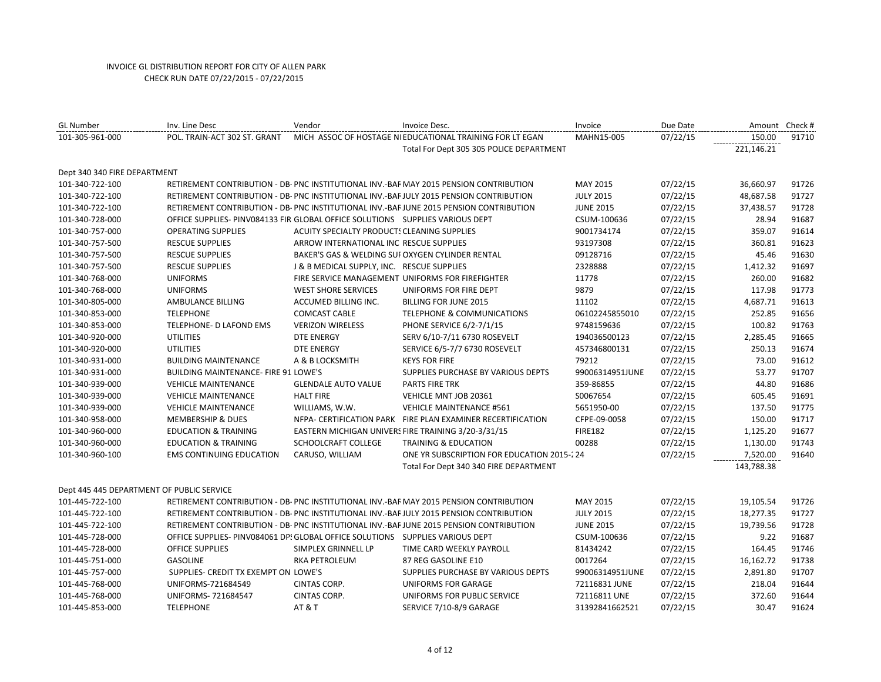| <b>GL Number</b>                          | Inv. Line Desc                                                                 | Vendor                                           | Invoice Desc.                                                                           | Invoice          | Due Date |            | Amount Check # |
|-------------------------------------------|--------------------------------------------------------------------------------|--------------------------------------------------|-----------------------------------------------------------------------------------------|------------------|----------|------------|----------------|
| 101-305-961-000                           | POL. TRAIN-ACT 302 ST. GRANT                                                   |                                                  | MICH ASSOC OF HOSTAGE NI EDUCATIONAL TRAINING FOR LT EGAN                               | MAHN15-005       | 07/22/15 | 150.00     | 91710          |
|                                           |                                                                                |                                                  | Total For Dept 305 305 POLICE DEPARTMENT                                                |                  |          | 221,146.21 |                |
| Dept 340 340 FIRE DEPARTMENT              |                                                                                |                                                  |                                                                                         |                  |          |            |                |
| 101-340-722-100                           |                                                                                |                                                  | RETIREMENT CONTRIBUTION - DB- PNC INSTITUTIONAL INV.-BAF MAY 2015 PENSION CONTRIBUTION  | MAY 2015         | 07/22/15 | 36,660.97  | 91726          |
| 101-340-722-100                           |                                                                                |                                                  | RETIREMENT CONTRIBUTION - DB- PNC INSTITUTIONAL INV.-BAF JULY 2015 PENSION CONTRIBUTION | <b>JULY 2015</b> | 07/22/15 | 48,687.58  | 91727          |
| 101-340-722-100                           |                                                                                |                                                  | RETIREMENT CONTRIBUTION - DB- PNC INSTITUTIONAL INV.-BAF JUNE 2015 PENSION CONTRIBUTION | <b>JUNE 2015</b> | 07/22/15 | 37,438.57  | 91728          |
| 101-340-728-000                           | OFFICE SUPPLIES- PINV084133 FIR GLOBAL OFFICE SOLUTIONS  SUPPLIES VARIOUS DEPT |                                                  |                                                                                         | CSUM-100636      | 07/22/15 | 28.94      | 91687          |
| 101-340-757-000                           | <b>OPERATING SUPPLIES</b>                                                      | ACUITY SPECIALTY PRODUCT: CLEANING SUPPLIES      |                                                                                         | 9001734174       | 07/22/15 | 359.07     | 91614          |
| 101-340-757-500                           | <b>RESCUE SUPPLIES</b>                                                         | ARROW INTERNATIONAL INC RESCUE SUPPLIES          |                                                                                         | 93197308         | 07/22/15 | 360.81     | 91623          |
| 101-340-757-500                           | <b>RESCUE SUPPLIES</b>                                                         | BAKER'S GAS & WELDING SUI OXYGEN CYLINDER RENTAL |                                                                                         | 09128716         | 07/22/15 | 45.46      | 91630          |
| 101-340-757-500                           | <b>RESCUE SUPPLIES</b>                                                         | J & B MEDICAL SUPPLY, INC. RESCUE SUPPLIES       |                                                                                         | 2328888          | 07/22/15 | 1,412.32   | 91697          |
| 101-340-768-000                           | <b>UNIFORMS</b>                                                                |                                                  | FIRE SERVICE MANAGEMENT UNIFORMS FOR FIREFIGHTER                                        | 11778            | 07/22/15 | 260.00     | 91682          |
| 101-340-768-000                           | <b>UNIFORMS</b>                                                                | <b>WEST SHORE SERVICES</b>                       | UNIFORMS FOR FIRE DEPT                                                                  | 9879             | 07/22/15 | 117.98     | 91773          |
| 101-340-805-000                           | AMBULANCE BILLING                                                              | ACCUMED BILLING INC.                             | <b>BILLING FOR JUNE 2015</b>                                                            | 11102            | 07/22/15 | 4,687.71   | 91613          |
| 101-340-853-000                           | <b>TELEPHONE</b>                                                               | <b>COMCAST CABLE</b>                             | <b>TELEPHONE &amp; COMMUNICATIONS</b>                                                   | 06102245855010   | 07/22/15 | 252.85     | 91656          |
| 101-340-853-000                           | TELEPHONE- D LAFOND EMS                                                        | <b>VERIZON WIRELESS</b>                          | PHONE SERVICE 6/2-7/1/15                                                                | 9748159636       | 07/22/15 | 100.82     | 91763          |
| 101-340-920-000                           | <b>UTILITIES</b>                                                               | <b>DTE ENERGY</b>                                | SERV 6/10-7/11 6730 ROSEVELT                                                            | 194036500123     | 07/22/15 | 2,285.45   | 91665          |
| 101-340-920-000                           | <b>UTILITIES</b>                                                               | <b>DTE ENERGY</b>                                | SERVICE 6/5-7/7 6730 ROSEVELT                                                           | 457346800131     | 07/22/15 | 250.13     | 91674          |
| 101-340-931-000                           | <b>BUILDING MAINTENANCE</b>                                                    | A & B LOCKSMITH                                  | <b>KEYS FOR FIRE</b>                                                                    | 79212            | 07/22/15 | 73.00      | 91612          |
| 101-340-931-000                           | <b>BUILDING MAINTENANCE- FIRE 91 LOWE'S</b>                                    |                                                  | SUPPLIES PURCHASE BY VARIOUS DEPTS                                                      | 99006314951JUNE  | 07/22/15 | 53.77      | 91707          |
| 101-340-939-000                           | <b>VEHICLE MAINTENANCE</b>                                                     | <b>GLENDALE AUTO VALUE</b>                       | <b>PARTS FIRE TRK</b>                                                                   | 359-86855        | 07/22/15 | 44.80      | 91686          |
| 101-340-939-000                           | <b>VEHICLE MAINTENANCE</b>                                                     | <b>HALT FIRE</b>                                 | VEHICLE MNT JOB 20361                                                                   | S0067654         | 07/22/15 | 605.45     | 91691          |
| 101-340-939-000                           | <b>VEHICLE MAINTENANCE</b>                                                     | WILLIAMS, W.W.                                   | <b>VEHICLE MAINTENANCE #561</b>                                                         | 5651950-00       | 07/22/15 | 137.50     | 91775          |
| 101-340-958-000                           | <b>MEMBERSHIP &amp; DUES</b>                                                   |                                                  | NEPA- CERTIFICATION PARK FIRE PLAN EXAMINER RECERTIFICATION                             | CFPE-09-0058     | 07/22/15 | 150.00     | 91717          |
| 101-340-960-000                           | <b>EDUCATION &amp; TRAINING</b>                                                |                                                  | EASTERN MICHIGAN UNIVERS FIRE TRAINING 3/20-3/31/15                                     | <b>FIRE182</b>   | 07/22/15 | 1,125.20   | 91677          |
| 101-340-960-000                           | <b>EDUCATION &amp; TRAINING</b>                                                | SCHOOLCRAFT COLLEGE                              | <b>TRAINING &amp; EDUCATION</b>                                                         | 00288            | 07/22/15 | 1,130.00   | 91743          |
| 101-340-960-100                           | <b>EMS CONTINUING EDUCATION</b>                                                | CARUSO, WILLIAM                                  | ONE YR SUBSCRIPTION FOR EDUCATION 2015-224                                              |                  | 07/22/15 | 7,520.00   | 91640          |
|                                           |                                                                                |                                                  | Total For Dept 340 340 FIRE DEPARTMENT                                                  |                  |          | 143,788.38 |                |
|                                           |                                                                                |                                                  |                                                                                         |                  |          |            |                |
| Dept 445 445 DEPARTMENT OF PUBLIC SERVICE |                                                                                |                                                  |                                                                                         |                  |          |            |                |
| 101-445-722-100                           |                                                                                |                                                  | RETIREMENT CONTRIBUTION - DB- PNC INSTITUTIONAL INV.-BAF MAY 2015 PENSION CONTRIBUTION  | MAY 2015         | 07/22/15 | 19,105.54  | 91726          |
| 101-445-722-100                           |                                                                                |                                                  | RETIREMENT CONTRIBUTION - DB- PNC INSTITUTIONAL INV.-BAF JULY 2015 PENSION CONTRIBUTION | <b>JULY 2015</b> | 07/22/15 | 18,277.35  | 91727          |
| 101-445-722-100                           |                                                                                |                                                  | RETIREMENT CONTRIBUTION - DB- PNC INSTITUTIONAL INV.-BAF JUNE 2015 PENSION CONTRIBUTION | <b>JUNE 2015</b> | 07/22/15 | 19,739.56  | 91728          |
| 101-445-728-000                           | OFFICE SUPPLIES- PINV084061 DP! GLOBAL OFFICE SOLUTIONS SUPPLIES VARIOUS DEPT  |                                                  |                                                                                         | CSUM-100636      | 07/22/15 | 9.22       | 91687          |
| 101-445-728-000                           | <b>OFFICE SUPPLIES</b>                                                         | SIMPLEX GRINNELL LP                              | TIME CARD WEEKLY PAYROLL                                                                | 81434242         | 07/22/15 | 164.45     | 91746          |
| 101-445-751-000                           | <b>GASOLINE</b>                                                                | <b>RKA PETROLEUM</b>                             | 87 REG GASOLINE E10                                                                     | 0017264          | 07/22/15 | 16,162.72  | 91738          |
| 101-445-757-000                           | SUPPLIES- CREDIT TX EXEMPT ON LOWE'S                                           |                                                  | SUPPLIES PURCHASE BY VARIOUS DEPTS                                                      | 99006314951JUNE  | 07/22/15 | 2,891.80   | 91707          |
| 101-445-768-000                           | UNIFORMS-721684549                                                             | CINTAS CORP.                                     | UNIFORMS FOR GARAGE                                                                     | 72116831 JUNE    | 07/22/15 | 218.04     | 91644          |
| 101-445-768-000                           | UNIFORMS- 721684547                                                            | CINTAS CORP.                                     | UNIFORMS FOR PUBLIC SERVICE                                                             | 72116811 UNE     | 07/22/15 | 372.60     | 91644          |
| 101-445-853-000                           | <b>TELEPHONE</b>                                                               | AT&T                                             | SERVICE 7/10-8/9 GARAGE                                                                 | 31392841662521   | 07/22/15 | 30.47      | 91624          |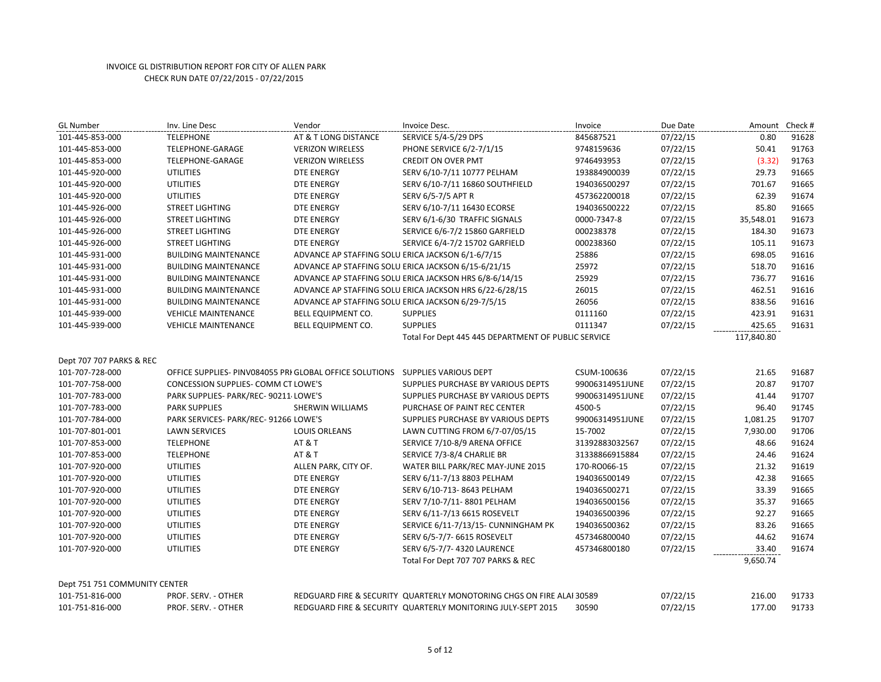| <b>GL Number</b>              | Inv. Line Desc                                                                 | Vendor                                            | Invoice Desc.                                                         | Invoice         | Due Date | Amount Check # |       |
|-------------------------------|--------------------------------------------------------------------------------|---------------------------------------------------|-----------------------------------------------------------------------|-----------------|----------|----------------|-------|
| 101-445-853-000               | <b>TELEPHONE</b>                                                               | AT & T LONG DISTANCE                              | <b>SERVICE 5/4-5/29 DPS</b>                                           | 845687521       | 07/22/15 | 0.80           | 91628 |
| 101-445-853-000               | TELEPHONE-GARAGE                                                               | <b>VERIZON WIRELESS</b>                           | PHONE SERVICE 6/2-7/1/15                                              | 9748159636      | 07/22/15 | 50.41          | 91763 |
| 101-445-853-000               | TELEPHONE-GARAGE                                                               | <b>VERIZON WIRELESS</b>                           | <b>CREDIT ON OVER PMT</b>                                             | 9746493953      | 07/22/15 | (3.32)         | 91763 |
| 101-445-920-000               | <b>UTILITIES</b>                                                               | <b>DTE ENERGY</b>                                 | SERV 6/10-7/11 10777 PELHAM                                           | 193884900039    | 07/22/15 | 29.73          | 91665 |
| 101-445-920-000               | <b>UTILITIES</b>                                                               | <b>DTE ENERGY</b>                                 | SERV 6/10-7/11 16860 SOUTHFIELD                                       | 194036500297    | 07/22/15 | 701.67         | 91665 |
| 101-445-920-000               | <b>UTILITIES</b>                                                               | <b>DTE ENERGY</b>                                 | SERV 6/5-7/5 APT R                                                    | 457362200018    | 07/22/15 | 62.39          | 91674 |
| 101-445-926-000               | <b>STREET LIGHTING</b>                                                         | <b>DTE ENERGY</b>                                 | SERV 6/10-7/11 16430 ECORSE                                           | 194036500222    | 07/22/15 | 85.80          | 91665 |
| 101-445-926-000               | <b>STREET LIGHTING</b>                                                         | DTE ENERGY                                        | SERV 6/1-6/30 TRAFFIC SIGNALS                                         | 0000-7347-8     | 07/22/15 | 35,548.01      | 91673 |
| 101-445-926-000               | <b>STREET LIGHTING</b>                                                         | <b>DTE ENERGY</b>                                 | SERVICE 6/6-7/2 15860 GARFIELD                                        | 000238378       | 07/22/15 | 184.30         | 91673 |
| 101-445-926-000               | <b>STREET LIGHTING</b>                                                         | <b>DTE ENERGY</b>                                 | SERVICE 6/4-7/2 15702 GARFIELD                                        | 000238360       | 07/22/15 | 105.11         | 91673 |
| 101-445-931-000               | <b>BUILDING MAINTENANCE</b>                                                    | ADVANCE AP STAFFING SOLU ERICA JACKSON 6/1-6/7/15 |                                                                       | 25886           | 07/22/15 | 698.05         | 91616 |
| 101-445-931-000               | <b>BUILDING MAINTENANCE</b>                                                    |                                                   | ADVANCE AP STAFFING SOLU ERICA JACKSON 6/15-6/21/15                   | 25972           | 07/22/15 | 518.70         | 91616 |
| 101-445-931-000               | <b>BUILDING MAINTENANCE</b>                                                    |                                                   | ADVANCE AP STAFFING SOLU ERICA JACKSON HRS 6/8-6/14/15                | 25929           | 07/22/15 | 736.77         | 91616 |
| 101-445-931-000               | <b>BUILDING MAINTENANCE</b>                                                    |                                                   | ADVANCE AP STAFFING SOLU ERICA JACKSON HRS 6/22-6/28/15               | 26015           | 07/22/15 | 462.51         | 91616 |
| 101-445-931-000               | <b>BUILDING MAINTENANCE</b>                                                    |                                                   | ADVANCE AP STAFFING SOLU ERICA JACKSON 6/29-7/5/15                    | 26056           | 07/22/15 | 838.56         | 91616 |
| 101-445-939-000               | <b>VEHICLE MAINTENANCE</b>                                                     | BELL EQUIPMENT CO.                                | <b>SUPPLIES</b>                                                       | 0111160         | 07/22/15 | 423.91         | 91631 |
| 101-445-939-000               | <b>VEHICLE MAINTENANCE</b>                                                     | BELL EQUIPMENT CO.                                | <b>SUPPLIES</b>                                                       | 0111347         | 07/22/15 | 425.65         | 91631 |
|                               |                                                                                |                                                   | Total For Dept 445 445 DEPARTMENT OF PUBLIC SERVICE                   |                 |          | 117,840.80     |       |
|                               |                                                                                |                                                   |                                                                       |                 |          |                |       |
| Dept 707 707 PARKS & REC      |                                                                                |                                                   |                                                                       |                 |          |                |       |
| 101-707-728-000               | OFFICE SUPPLIES- PINV084055 PRI GLOBAL OFFICE SOLUTIONS  SUPPLIES VARIOUS DEPT |                                                   |                                                                       | CSUM-100636     | 07/22/15 | 21.65          | 91687 |
| 101-707-758-000               | CONCESSION SUPPLIES- COMM CT LOWE'S                                            |                                                   | SUPPLIES PURCHASE BY VARIOUS DEPTS                                    | 99006314951JUNE | 07/22/15 | 20.87          | 91707 |
| 101-707-783-000               | PARK SUPPLIES- PARK/REC- 90211 LOWE'S                                          |                                                   | SUPPLIES PURCHASE BY VARIOUS DEPTS                                    | 99006314951JUNE | 07/22/15 | 41.44          | 91707 |
| 101-707-783-000               | <b>PARK SUPPLIES</b>                                                           | SHERWIN WILLIAMS                                  | PURCHASE OF PAINT REC CENTER                                          | 4500-5          | 07/22/15 | 96.40          | 91745 |
| 101-707-784-000               | PARK SERVICES- PARK/REC- 91266 LOWE'S                                          |                                                   | SUPPLIES PURCHASE BY VARIOUS DEPTS                                    | 99006314951JUNE | 07/22/15 | 1,081.25       | 91707 |
| 101-707-801-001               | <b>LAWN SERVICES</b>                                                           | <b>LOUIS ORLEANS</b>                              | LAWN CUTTING FROM 6/7-07/05/15                                        | 15-7002         | 07/22/15 | 7,930.00       | 91706 |
| 101-707-853-000               | <b>TELEPHONE</b>                                                               | <b>AT &amp; T</b>                                 | SERVICE 7/10-8/9 ARENA OFFICE                                         | 31392883032567  | 07/22/15 | 48.66          | 91624 |
| 101-707-853-000               | <b>TELEPHONE</b>                                                               | <b>AT &amp; T</b>                                 | SERVICE 7/3-8/4 CHARLIE BR                                            | 31338866915884  | 07/22/15 | 24.46          | 91624 |
| 101-707-920-000               | <b>UTILITIES</b>                                                               | ALLEN PARK, CITY OF.                              | WATER BILL PARK/REC MAY-JUNE 2015                                     | 170-RO066-15    | 07/22/15 | 21.32          | 91619 |
| 101-707-920-000               | <b>UTILITIES</b>                                                               | <b>DTE ENERGY</b>                                 | SERV 6/11-7/13 8803 PELHAM                                            | 194036500149    | 07/22/15 | 42.38          | 91665 |
| 101-707-920-000               | <b>UTILITIES</b>                                                               | <b>DTE ENERGY</b>                                 | SERV 6/10-713-8643 PELHAM                                             | 194036500271    | 07/22/15 | 33.39          | 91665 |
| 101-707-920-000               | <b>UTILITIES</b>                                                               | DTE ENERGY                                        | SERV 7/10-7/11-8801 PELHAM                                            | 194036500156    | 07/22/15 | 35.37          | 91665 |
| 101-707-920-000               | <b>UTILITIES</b>                                                               | <b>DTE ENERGY</b>                                 | SERV 6/11-7/13 6615 ROSEVELT                                          | 194036500396    | 07/22/15 | 92.27          | 91665 |
| 101-707-920-000               | <b>UTILITIES</b>                                                               | <b>DTE ENERGY</b>                                 | SERVICE 6/11-7/13/15- CUNNINGHAM PK                                   | 194036500362    | 07/22/15 | 83.26          | 91665 |
| 101-707-920-000               | <b>UTILITIES</b>                                                               | <b>DTE ENERGY</b>                                 | SERV 6/5-7/7- 6615 ROSEVELT                                           | 457346800040    | 07/22/15 | 44.62          | 91674 |
| 101-707-920-000               | <b>UTILITIES</b>                                                               | <b>DTE ENERGY</b>                                 | SERV 6/5-7/7-4320 LAURENCE                                            | 457346800180    | 07/22/15 | 33.40          | 91674 |
|                               |                                                                                |                                                   | Total For Dept 707 707 PARKS & REC                                    |                 |          | 9,650.74       |       |
|                               |                                                                                |                                                   |                                                                       |                 |          |                |       |
| Dept 751 751 COMMUNITY CENTER |                                                                                |                                                   |                                                                       |                 |          |                |       |
| 101-751-816-000               | PROF. SERV. - OTHER                                                            |                                                   | REDGUARD FIRE & SECURITY QUARTERLY MONOTORING CHGS ON FIRE ALAI 30589 |                 | 07/22/15 | 216.00         | 91733 |
| 101-751-816-000               | PROF. SERV. - OTHER                                                            |                                                   | REDGUARD FIRE & SECURITY QUARTERLY MONITORING JULY-SEPT 2015          | 30590           | 07/22/15 | 177.00         | 91733 |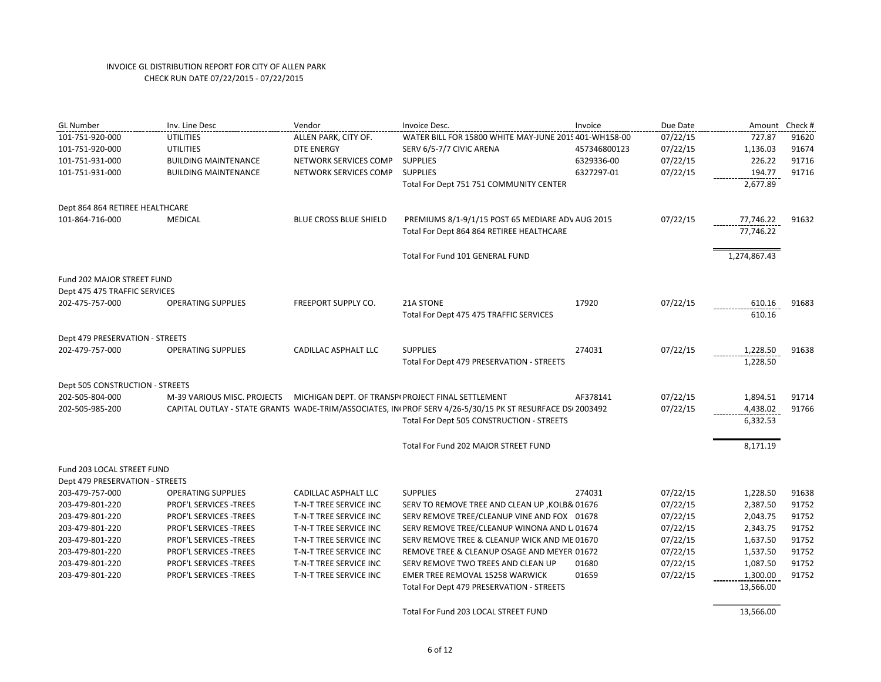| <b>GL Number</b>                | Inv. Line Desc              | Vendor                     | Invoice Desc.                                                                                              | Invoice      | Due Date | Amount       | Check # |
|---------------------------------|-----------------------------|----------------------------|------------------------------------------------------------------------------------------------------------|--------------|----------|--------------|---------|
| 101-751-920-000                 | <b>UTILITIES</b>            | ALLEN PARK, CITY OF.       | WATER BILL FOR 15800 WHITE MAY-JUNE 2015 401-WH158-00                                                      |              | 07/22/15 | 727.87       | 91620   |
| 101-751-920-000                 | <b>UTILITIES</b>            | <b>DTE ENERGY</b>          | SERV 6/5-7/7 CIVIC ARENA                                                                                   | 457346800123 | 07/22/15 | 1,136.03     | 91674   |
| 101-751-931-000                 | <b>BUILDING MAINTENANCE</b> | NETWORK SERVICES COMP      | <b>SUPPLIES</b>                                                                                            | 6329336-00   | 07/22/15 | 226.22       | 91716   |
| 101-751-931-000                 | <b>BUILDING MAINTENANCE</b> | NETWORK SERVICES COMP      | <b>SUPPLIES</b>                                                                                            | 6327297-01   | 07/22/15 | 194.77       | 91716   |
|                                 |                             |                            | Total For Dept 751 751 COMMUNITY CENTER                                                                    |              |          | 2,677.89     |         |
| Dept 864 864 RETIREE HEALTHCARE |                             |                            |                                                                                                            |              |          |              |         |
| 101-864-716-000                 | <b>MEDICAL</b>              | BLUE CROSS BLUE SHIELD     | PREMIUMS 8/1-9/1/15 POST 65 MEDIARE ADV AUG 2015                                                           |              | 07/22/15 | 77,746.22    | 91632   |
|                                 |                             |                            | Total For Dept 864 864 RETIREE HEALTHCARE                                                                  |              |          | 77,746.22    |         |
|                                 |                             |                            | Total For Fund 101 GENERAL FUND                                                                            |              |          | 1,274,867.43 |         |
| Fund 202 MAJOR STREET FUND      |                             |                            |                                                                                                            |              |          |              |         |
| Dept 475 475 TRAFFIC SERVICES   |                             |                            |                                                                                                            |              |          |              |         |
| 202-475-757-000                 | <b>OPERATING SUPPLIES</b>   | <b>FREEPORT SUPPLY CO.</b> | <b>21A STONE</b>                                                                                           | 17920        | 07/22/15 | 610.16       | 91683   |
|                                 |                             |                            | Total For Dept 475 475 TRAFFIC SERVICES                                                                    |              |          | 610.16       |         |
| Dept 479 PRESERVATION - STREETS |                             |                            |                                                                                                            |              |          |              |         |
| 202-479-757-000                 | <b>OPERATING SUPPLIES</b>   | CADILLAC ASPHALT LLC       | <b>SUPPLIES</b>                                                                                            | 274031       | 07/22/15 | 1,228.50     | 91638   |
|                                 |                             |                            | Total For Dept 479 PRESERVATION - STREETS                                                                  |              |          | 1,228.50     |         |
| Dept 505 CONSTRUCTION - STREETS |                             |                            |                                                                                                            |              |          |              |         |
| 202-505-804-000                 | M-39 VARIOUS MISC. PROJECTS |                            | MICHIGAN DEPT. OF TRANSPI PROJECT FINAL SETTLEMENT                                                         | AF378141     | 07/22/15 | 1,894.51     | 91714   |
| 202-505-985-200                 |                             |                            | CAPITAL OUTLAY - STATE GRANTS WADE-TRIM/ASSOCIATES, INI PROF SERV 4/26-5/30/15 PK ST RESURFACE DSI 2003492 |              | 07/22/15 | 4,438.02     | 91766   |
|                                 |                             |                            | Total For Dept 505 CONSTRUCTION - STREETS                                                                  |              |          | 6,332.53     |         |
|                                 |                             |                            | Total For Fund 202 MAJOR STREET FUND                                                                       |              |          | 8,171.19     |         |
| Fund 203 LOCAL STREET FUND      |                             |                            |                                                                                                            |              |          |              |         |
| Dept 479 PRESERVATION - STREETS |                             |                            |                                                                                                            |              |          |              |         |
| 203-479-757-000                 | <b>OPERATING SUPPLIES</b>   | CADILLAC ASPHALT LLC       | <b>SUPPLIES</b>                                                                                            | 274031       | 07/22/15 | 1,228.50     | 91638   |
| 203-479-801-220                 | PROF'L SERVICES -TREES      | T-N-T TREE SERVICE INC     | SERV TO REMOVE TREE AND CLEAN UP , KOLB& 01676                                                             |              | 07/22/15 | 2,387.50     | 91752   |
| 203-479-801-220                 | PROF'L SERVICES -TREES      | T-N-T TREE SERVICE INC     | SERV REMOVE TREE/CLEANUP VINE AND FOX 01678                                                                |              | 07/22/15 | 2,043.75     | 91752   |
| 203-479-801-220                 | PROF'L SERVICES -TREES      | T-N-T TREE SERVICE INC     | SERV REMOVE TREE/CLEANUP WINONA AND L 01674                                                                |              | 07/22/15 | 2,343.75     | 91752   |
| 203-479-801-220                 | PROF'L SERVICES -TREES      | T-N-T TREE SERVICE INC     | SERV REMOVE TREE & CLEANUP WICK AND ME 01670                                                               |              | 07/22/15 | 1,637.50     | 91752   |
| 203-479-801-220                 | PROF'L SERVICES -TREES      | T-N-T TREE SERVICE INC     | REMOVE TREE & CLEANUP OSAGE AND MEYER 01672                                                                |              | 07/22/15 | 1,537.50     | 91752   |
| 203-479-801-220                 | PROF'L SERVICES -TREES      | T-N-T TREE SERVICE INC     | SERV REMOVE TWO TREES AND CLEAN UP                                                                         | 01680        | 07/22/15 | 1,087.50     | 91752   |
| 203-479-801-220                 | PROF'L SERVICES - TREES     | T-N-T TREE SERVICE INC     | EMER TREE REMOVAL 15258 WARWICK                                                                            | 01659        | 07/22/15 | 1,300.00     | 91752   |
|                                 |                             |                            | Total For Dept 479 PRESERVATION - STREETS                                                                  |              |          | 13,566.00    |         |
|                                 |                             |                            | Total For Fund 203 LOCAL STREET FUND                                                                       |              |          | 13,566.00    |         |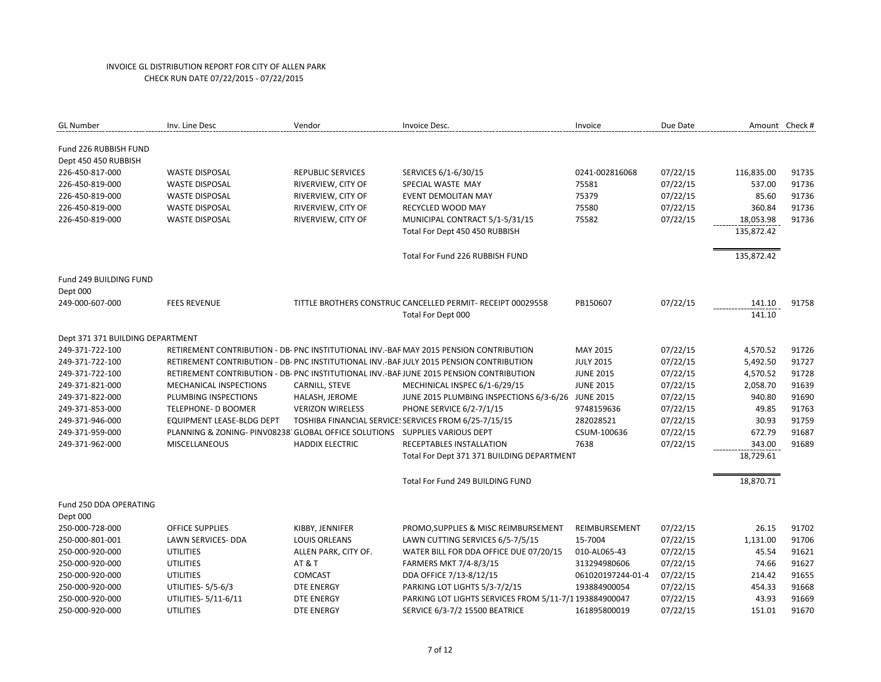| <b>GL Number</b>                 | Inv. Line Desc                                                              | Vendor                   | Invoice Desc.                                                                           | Invoice           | Due Date |            | Amount Check # |
|----------------------------------|-----------------------------------------------------------------------------|--------------------------|-----------------------------------------------------------------------------------------|-------------------|----------|------------|----------------|
| Fund 226 RUBBISH FUND            |                                                                             |                          |                                                                                         |                   |          |            |                |
| Dept 450 450 RUBBISH             |                                                                             |                          |                                                                                         |                   |          |            |                |
| 226-450-817-000                  | <b>WASTE DISPOSAL</b>                                                       | <b>REPUBLIC SERVICES</b> | SERVICES 6/1-6/30/15                                                                    | 0241-002816068    | 07/22/15 | 116,835.00 | 91735          |
| 226-450-819-000                  | <b>WASTE DISPOSAL</b>                                                       | RIVERVIEW, CITY OF       | SPECIAL WASTE MAY                                                                       | 75581             | 07/22/15 | 537.00     | 91736          |
| 226-450-819-000                  | <b>WASTE DISPOSAL</b>                                                       | RIVERVIEW, CITY OF       | <b>EVENT DEMOLITAN MAY</b>                                                              | 75379             | 07/22/15 | 85.60      | 91736          |
| 226-450-819-000                  | <b>WASTE DISPOSAL</b>                                                       | RIVERVIEW, CITY OF       | RECYCLED WOOD MAY                                                                       | 75580             | 07/22/15 | 360.84     | 91736          |
| 226-450-819-000                  | <b>WASTE DISPOSAL</b>                                                       | RIVERVIEW, CITY OF       | MUNICIPAL CONTRACT 5/1-5/31/15                                                          | 75582             | 07/22/15 | 18,053.98  | 91736          |
|                                  |                                                                             |                          | Total For Dept 450 450 RUBBISH                                                          |                   |          | 135,872.42 |                |
|                                  |                                                                             |                          | Total For Fund 226 RUBBISH FUND                                                         |                   |          | 135,872.42 |                |
| Fund 249 BUILDING FUND           |                                                                             |                          |                                                                                         |                   |          |            |                |
| Dept 000                         |                                                                             |                          |                                                                                         |                   |          |            |                |
| 249-000-607-000                  | <b>FEES REVENUE</b>                                                         |                          | TITTLE BROTHERS CONSTRUC CANCELLED PERMIT- RECEIPT 00029558                             | PB150607          | 07/22/15 | 141.10     | 91758          |
|                                  |                                                                             |                          | Total For Dept 000                                                                      |                   |          | 141.10     |                |
| Dept 371 371 BUILDING DEPARTMENT |                                                                             |                          |                                                                                         |                   |          |            |                |
| 249-371-722-100                  |                                                                             |                          | RETIREMENT CONTRIBUTION - DB- PNC INSTITUTIONAL INV.-BAF MAY 2015 PENSION CONTRIBUTION  | MAY 2015          | 07/22/15 | 4,570.52   | 91726          |
| 249-371-722-100                  |                                                                             |                          | RETIREMENT CONTRIBUTION - DB- PNC INSTITUTIONAL INV.-BAF JULY 2015 PENSION CONTRIBUTION | <b>JULY 2015</b>  | 07/22/15 | 5,492.50   | 91727          |
| 249-371-722-100                  |                                                                             |                          | RETIREMENT CONTRIBUTION - DB- PNC INSTITUTIONAL INV.-BAF JUNE 2015 PENSION CONTRIBUTION | <b>JUNE 2015</b>  | 07/22/15 | 4,570.52   | 91728          |
| 249-371-821-000                  | MECHANICAL INSPECTIONS                                                      | CARNILL, STEVE           | MECHINICAL INSPEC 6/1-6/29/15                                                           | <b>JUNE 2015</b>  | 07/22/15 | 2,058.70   | 91639          |
| 249-371-822-000                  | PLUMBING INSPECTIONS                                                        | HALASH, JEROME           | JUNE 2015 PLUMBING INSPECTIONS 6/3-6/26                                                 | <b>JUNE 2015</b>  | 07/22/15 | 940.80     | 91690          |
| 249-371-853-000                  | TELEPHONE- D BOOMER                                                         | <b>VERIZON WIRELESS</b>  | PHONE SERVICE 6/2-7/1/15                                                                | 9748159636        | 07/22/15 | 49.85      | 91763          |
| 249-371-946-000                  | EQUIPMENT LEASE-BLDG DEPT                                                   |                          | TOSHIBA FINANCIAL SERVICE: SERVICES FROM 6/25-7/15/15                                   | 282028521         | 07/22/15 | 30.93      | 91759          |
| 249-371-959-000                  | PLANNING & ZONING- PINV08238, GLOBAL OFFICE SOLUTIONS SUPPLIES VARIOUS DEPT |                          |                                                                                         | CSUM-100636       | 07/22/15 | 672.79     | 91687          |
| 249-371-962-000                  | MISCELLANEOUS                                                               | <b>HADDIX ELECTRIC</b>   | RECEPTABLES INSTALLATION                                                                | 7638              | 07/22/15 | 343.00     | 91689          |
|                                  |                                                                             |                          | Total For Dept 371 371 BUILDING DEPARTMENT                                              |                   |          | 18,729.61  |                |
|                                  |                                                                             |                          | Total For Fund 249 BUILDING FUND                                                        |                   |          | 18,870.71  |                |
| Fund 250 DDA OPERATING           |                                                                             |                          |                                                                                         |                   |          |            |                |
| Dept 000                         |                                                                             |                          |                                                                                         |                   |          |            |                |
| 250-000-728-000                  | <b>OFFICE SUPPLIES</b>                                                      | KIBBY, JENNIFER          | PROMO, SUPPLIES & MISC REIMBURSEMENT                                                    | REIMBURSEMENT     | 07/22/15 | 26.15      | 91702          |
| 250-000-801-001                  | <b>LAWN SERVICES- DDA</b>                                                   | <b>LOUIS ORLEANS</b>     | LAWN CUTTING SERVICES 6/5-7/5/15                                                        | 15-7004           | 07/22/15 | 1,131.00   | 91706          |
| 250-000-920-000                  | <b>UTILITIES</b>                                                            | ALLEN PARK, CITY OF.     | WATER BILL FOR DDA OFFICE DUE 07/20/15                                                  | 010-AL065-43      | 07/22/15 | 45.54      | 91621          |
| 250-000-920-000                  | <b>UTILITIES</b>                                                            | <b>AT &amp; T</b>        | FARMERS MKT 7/4-8/3/15                                                                  | 313294980606      | 07/22/15 | 74.66      | 91627          |
| 250-000-920-000                  | <b>UTILITIES</b>                                                            | COMCAST                  | DDA OFFICE 7/13-8/12/15                                                                 | 061020197244-01-4 | 07/22/15 | 214.42     | 91655          |
| 250-000-920-000                  | UTILITIES- 5/5-6/3                                                          | DTE ENERGY               | PARKING LOT LIGHTS 5/3-7/2/15                                                           | 193884900054      | 07/22/15 | 454.33     | 91668          |
| 250-000-920-000                  | UTILITIES- 5/11-6/11                                                        | <b>DTE ENERGY</b>        | PARKING LOT LIGHTS SERVICES FROM 5/11-7/1 193884900047                                  |                   | 07/22/15 | 43.93      | 91669          |
| 250-000-920-000                  | <b>UTILITIES</b>                                                            | <b>DTE ENERGY</b>        | SERVICE 6/3-7/2 15500 BEATRICE                                                          | 161895800019      | 07/22/15 | 151.01     | 91670          |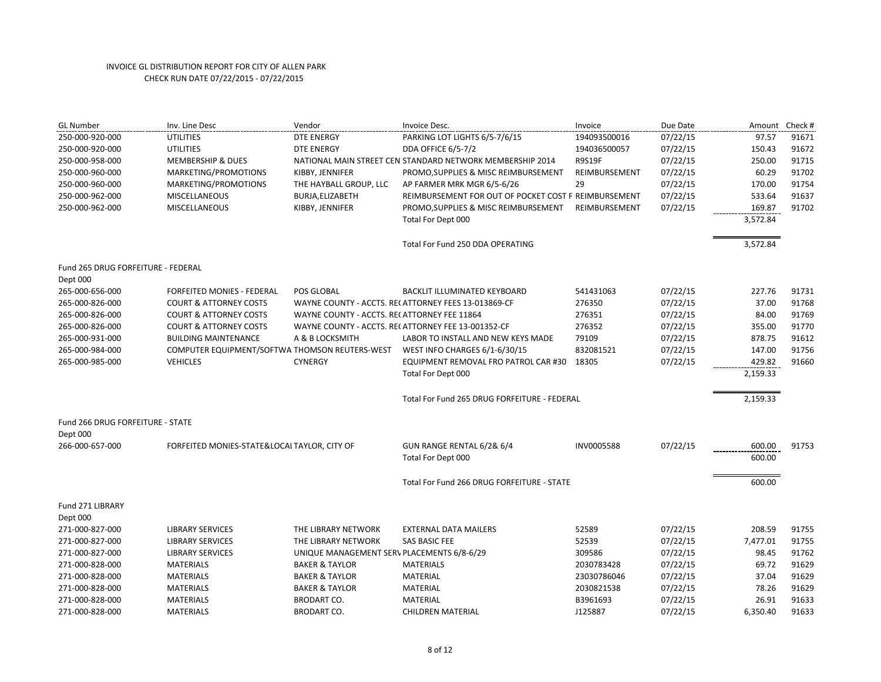| <b>GL Number</b>                   | Inv. Line Desc                                 | Vendor                                      | Invoice Desc.                                             | Invoice       | Due Date | Amount   | Check # |
|------------------------------------|------------------------------------------------|---------------------------------------------|-----------------------------------------------------------|---------------|----------|----------|---------|
| 250-000-920-000                    | <b>UTILITIES</b>                               | <b>DTE ENERGY</b>                           | PARKING LOT LIGHTS 6/5-7/6/15                             | 194093500016  | 07/22/15 | 97.57    | 91671   |
| 250-000-920-000                    | <b>UTILITIES</b>                               | <b>DTE ENERGY</b>                           | <b>DDA OFFICE 6/5-7/2</b>                                 | 194036500057  | 07/22/15 | 150.43   | 91672   |
| 250-000-958-000                    | <b>MEMBERSHIP &amp; DUES</b>                   |                                             | NATIONAL MAIN STREET CEN STANDARD NETWORK MEMBERSHIP 2014 | <b>R9S19F</b> | 07/22/15 | 250.00   | 91715   |
| 250-000-960-000                    | MARKETING/PROMOTIONS                           | KIBBY, JENNIFER                             | PROMO, SUPPLIES & MISC REIMBURSEMENT                      | REIMBURSEMENT | 07/22/15 | 60.29    | 91702   |
| 250-000-960-000                    | MARKETING/PROMOTIONS                           | THE HAYBALL GROUP, LLC                      | AP FARMER MRK MGR 6/5-6/26                                | 29            | 07/22/15 | 170.00   | 91754   |
| 250-000-962-000                    | <b>MISCELLANEOUS</b>                           | BURJA, ELIZABETH                            | REIMBURSEMENT FOR OUT OF POCKET COST F REIMBURSEMENT      |               | 07/22/15 | 533.64   | 91637   |
| 250-000-962-000                    | <b>MISCELLANEOUS</b>                           | KIBBY, JENNIFER                             | PROMO, SUPPLIES & MISC REIMBURSEMENT                      | REIMBURSEMENT | 07/22/15 | 169.87   | 91702   |
|                                    |                                                |                                             | Total For Dept 000                                        |               |          | 3,572.84 |         |
|                                    |                                                |                                             | Total For Fund 250 DDA OPERATING                          |               |          | 3,572.84 |         |
| Fund 265 DRUG FORFEITURE - FEDERAL |                                                |                                             |                                                           |               |          |          |         |
| Dept 000<br>265-000-656-000        | <b>FORFEITED MONIES - FEDERAL</b>              | POS GLOBAL                                  | <b>BACKLIT ILLUMINATED KEYBOARD</b>                       | 541431063     | 07/22/15 | 227.76   | 91731   |
| 265-000-826-000                    | <b>COURT &amp; ATTORNEY COSTS</b>              |                                             | WAYNE COUNTY - ACCTS. RECATTORNEY FEES 13-013869-CF       | 276350        | 07/22/15 | 37.00    | 91768   |
| 265-000-826-000                    | <b>COURT &amp; ATTORNEY COSTS</b>              | WAYNE COUNTY - ACCTS. RECATTORNEY FEE 11864 |                                                           | 276351        | 07/22/15 | 84.00    | 91769   |
| 265-000-826-000                    | <b>COURT &amp; ATTORNEY COSTS</b>              |                                             | WAYNE COUNTY - ACCTS. RECATTORNEY FEE 13-001352-CF        | 276352        | 07/22/15 | 355.00   | 91770   |
| 265-000-931-000                    | <b>BUILDING MAINTENANCE</b>                    | A & B LOCKSMITH                             | LABOR TO INSTALL AND NEW KEYS MADE                        | 79109         | 07/22/15 | 878.75   | 91612   |
| 265-000-984-000                    | COMPUTER EQUIPMENT/SOFTWA THOMSON REUTERS-WEST |                                             | WEST INFO CHARGES 6/1-6/30/15                             | 832081521     | 07/22/15 | 147.00   | 91756   |
| 265-000-985-000                    | <b>VEHICLES</b>                                | <b>CYNERGY</b>                              | EQUIPMENT REMOVAL FRO PATROL CAR #30 18305                |               | 07/22/15 | 429.82   | 91660   |
|                                    |                                                |                                             | Total For Dept 000                                        |               |          | 2,159.33 |         |
|                                    |                                                |                                             | Total For Fund 265 DRUG FORFEITURE - FEDERAL              |               |          | 2,159.33 |         |
| Fund 266 DRUG FORFEITURE - STATE   |                                                |                                             |                                                           |               |          |          |         |
| Dept 000                           |                                                |                                             |                                                           |               |          |          |         |
| 266-000-657-000                    | FORFEITED MONIES-STATE&LOCAL TAYLOR, CITY OF   |                                             | GUN RANGE RENTAL 6/2& 6/4                                 | INV0005588    | 07/22/15 | 600.00   | 91753   |
|                                    |                                                |                                             | Total For Dept 000                                        |               |          | 600.00   |         |
|                                    |                                                |                                             | Total For Fund 266 DRUG FORFEITURE - STATE                |               |          | 600.00   |         |
| Fund 271 LIBRARY                   |                                                |                                             |                                                           |               |          |          |         |
| Dept 000                           |                                                |                                             |                                                           |               |          |          |         |
| 271-000-827-000                    | <b>LIBRARY SERVICES</b>                        | THE LIBRARY NETWORK                         | <b>EXTERNAL DATA MAILERS</b>                              | 52589         | 07/22/15 | 208.59   | 91755   |
| 271-000-827-000                    | <b>LIBRARY SERVICES</b>                        | THE LIBRARY NETWORK                         | SAS BASIC FEE                                             | 52539         | 07/22/15 | 7,477.01 | 91755   |
| 271-000-827-000                    | <b>LIBRARY SERVICES</b>                        | UNIQUE MANAGEMENT SERV PLACEMENTS 6/8-6/29  |                                                           | 309586        | 07/22/15 | 98.45    | 91762   |
| 271-000-828-000                    | <b>MATERIALS</b>                               | <b>BAKER &amp; TAYLOR</b>                   | <b>MATERIALS</b>                                          | 2030783428    | 07/22/15 | 69.72    | 91629   |
| 271-000-828-000                    | <b>MATERIALS</b>                               | <b>BAKER &amp; TAYLOR</b>                   | <b>MATERIAL</b>                                           | 23030786046   | 07/22/15 | 37.04    | 91629   |
| 271-000-828-000                    | <b>MATERIALS</b>                               | <b>BAKER &amp; TAYLOR</b>                   | <b>MATERIAL</b>                                           | 2030821538    | 07/22/15 | 78.26    | 91629   |
| 271-000-828-000                    | <b>MATERIALS</b>                               | <b>BRODART CO.</b>                          | <b>MATERIAL</b>                                           | B3961693      | 07/22/15 | 26.91    | 91633   |
| 271-000-828-000                    | <b>MATERIALS</b>                               | <b>BRODART CO.</b>                          | <b>CHILDREN MATERIAL</b>                                  | J125887       | 07/22/15 | 6,350.40 | 91633   |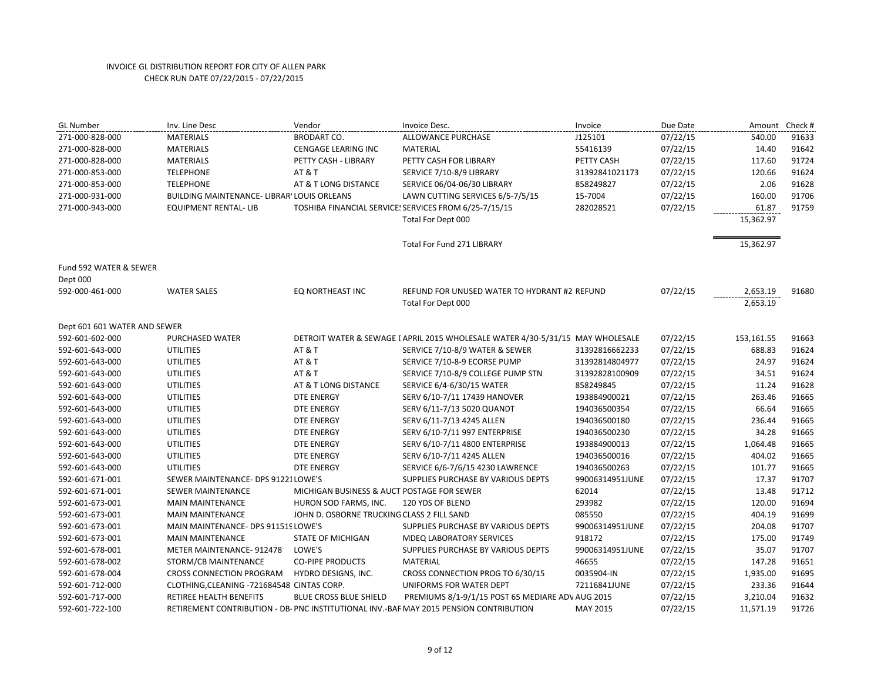| <b>GL Number</b>                   | Inv. Line Desc                              | Vendor                                     | Invoice Desc.                                                                          | Invoice         | Due Date | Amount     | Check # |
|------------------------------------|---------------------------------------------|--------------------------------------------|----------------------------------------------------------------------------------------|-----------------|----------|------------|---------|
| 271-000-828-000                    | <b>MATERIALS</b>                            | <b>BRODART CO.</b>                         | ALLOWANCE PURCHASE                                                                     | J125101         | 07/22/15 | 540.00     | 91633   |
| 271-000-828-000                    | <b>MATERIALS</b>                            | <b>CENGAGE LEARING INC</b>                 | <b>MATERIAL</b>                                                                        | 55416139        | 07/22/15 | 14.40      | 91642   |
| 271-000-828-000                    | <b>MATERIALS</b>                            | PETTY CASH - LIBRARY                       | PETTY CASH FOR LIBRARY                                                                 | PETTY CASH      | 07/22/15 | 117.60     | 91724   |
| 271-000-853-000                    | <b>TELEPHONE</b>                            | <b>AT &amp; T</b>                          | SERVICE 7/10-8/9 LIBRARY                                                               | 31392841021173  | 07/22/15 | 120.66     | 91624   |
| 271-000-853-000                    | <b>TELEPHONE</b>                            | AT & T LONG DISTANCE                       | SERVICE 06/04-06/30 LIBRARY                                                            | 858249827       | 07/22/15 | 2.06       | 91628   |
| 271-000-931-000                    | BUILDING MAINTENANCE- LIBRAR' LOUIS ORLEANS |                                            | LAWN CUTTING SERVICES 6/5-7/5/15                                                       | 15-7004         | 07/22/15 | 160.00     | 91706   |
| 271-000-943-000                    | <b>EQUIPMENT RENTAL-LIB</b>                 |                                            | TOSHIBA FINANCIAL SERVICE: SERVICES FROM 6/25-7/15/15                                  | 282028521       | 07/22/15 | 61.87      | 91759   |
|                                    |                                             |                                            | Total For Dept 000                                                                     |                 |          | 15,362.97  |         |
|                                    |                                             |                                            | <b>Total For Fund 271 LIBRARY</b>                                                      |                 |          | 15,362.97  |         |
| Fund 592 WATER & SEWER<br>Dept 000 |                                             |                                            |                                                                                        |                 |          |            |         |
| 592-000-461-000                    | <b>WATER SALES</b>                          | EQ NORTHEAST INC                           | REFUND FOR UNUSED WATER TO HYDRANT #2 REFUND                                           |                 | 07/22/15 | 2,653.19   | 91680   |
|                                    |                                             |                                            | Total For Dept 000                                                                     |                 |          | 2,653.19   |         |
| Dept 601 601 WATER AND SEWER       |                                             |                                            |                                                                                        |                 |          |            |         |
| 592-601-602-000                    | PURCHASED WATER                             |                                            | DETROIT WATER & SEWAGE I APRIL 2015 WHOLESALE WATER 4/30-5/31/15 MAY WHOLESALE         |                 | 07/22/15 | 153,161.55 | 91663   |
| 592-601-643-000                    | <b>UTILITIES</b>                            | <b>AT &amp; T</b>                          | SERVICE 7/10-8/9 WATER & SEWER                                                         | 31392816662233  | 07/22/15 | 688.83     | 91624   |
| 592-601-643-000                    | <b>UTILITIES</b>                            | <b>AT &amp; T</b>                          | SERVICE 7/10-8-9 ECORSE PUMP                                                           | 31392814804977  | 07/22/15 | 24.97      | 91624   |
| 592-601-643-000                    | <b>UTILITIES</b>                            | <b>AT &amp; T</b>                          | SERVICE 7/10-8/9 COLLEGE PUMP STN                                                      | 31392828100909  | 07/22/15 | 34.51      | 91624   |
| 592-601-643-000                    | <b>UTILITIES</b>                            | AT & T LONG DISTANCE                       | SERVICE 6/4-6/30/15 WATER                                                              | 858249845       | 07/22/15 | 11.24      | 91628   |
| 592-601-643-000                    | <b>UTILITIES</b>                            | <b>DTE ENERGY</b>                          | SERV 6/10-7/11 17439 HANOVER                                                           | 193884900021    | 07/22/15 | 263.46     | 91665   |
| 592-601-643-000                    | <b>UTILITIES</b>                            | DTE ENERGY                                 | SERV 6/11-7/13 5020 QUANDT                                                             | 194036500354    | 07/22/15 | 66.64      | 91665   |
| 592-601-643-000                    | <b>UTILITIES</b>                            | <b>DTE ENERGY</b>                          | SERV 6/11-7/13 4245 ALLEN                                                              | 194036500180    | 07/22/15 | 236.44     | 91665   |
| 592-601-643-000                    | <b>UTILITIES</b>                            | <b>DTE ENERGY</b>                          | SERV 6/10-7/11 997 ENTERPRISE                                                          | 194036500230    | 07/22/15 | 34.28      | 91665   |
| 592-601-643-000                    | <b>UTILITIES</b>                            | <b>DTE ENERGY</b>                          | SERV 6/10-7/11 4800 ENTERPRISE                                                         | 193884900013    | 07/22/15 | 1,064.48   | 91665   |
| 592-601-643-000                    | <b>UTILITIES</b>                            | <b>DTE ENERGY</b>                          | SERV 6/10-7/11 4245 ALLEN                                                              | 194036500016    | 07/22/15 | 404.02     | 91665   |
| 592-601-643-000                    | <b>UTILITIES</b>                            | <b>DTE ENERGY</b>                          | SERVICE 6/6-7/6/15 4230 LAWRENCE                                                       | 194036500263    | 07/22/15 | 101.77     | 91665   |
| 592-601-671-001                    | SEWER MAINTENANCE- DPS 91221LOWE'S          |                                            | SUPPLIES PURCHASE BY VARIOUS DEPTS                                                     | 99006314951JUNE | 07/22/15 | 17.37      | 91707   |
| 592-601-671-001                    | SEWER MAINTENANCE                           | MICHIGAN BUSINESS & AUCT POSTAGE FOR SEWER |                                                                                        | 62014           | 07/22/15 | 13.48      | 91712   |
| 592-601-673-001                    | <b>MAIN MAINTENANCE</b>                     | HURON SOD FARMS, INC.                      | 120 YDS OF BLEND                                                                       | 293982          | 07/22/15 | 120.00     | 91694   |
| 592-601-673-001                    | <b>MAIN MAINTENANCE</b>                     | JOHN D. OSBORNE TRUCKING CLASS 2 FILL SAND |                                                                                        | 085550          | 07/22/15 | 404.19     | 91699   |
| 592-601-673-001                    | MAIN MAINTENANCE- DPS 911519 LOWE'S         |                                            | SUPPLIES PURCHASE BY VARIOUS DEPTS                                                     | 99006314951JUNE | 07/22/15 | 204.08     | 91707   |
| 592-601-673-001                    | <b>MAIN MAINTENANCE</b>                     | <b>STATE OF MICHIGAN</b>                   | MDEQ LABORATORY SERVICES                                                               | 918172          | 07/22/15 | 175.00     | 91749   |
| 592-601-678-001                    | METER MAINTENANCE-912478                    | LOWE'S                                     | SUPPLIES PURCHASE BY VARIOUS DEPTS                                                     | 99006314951JUNE | 07/22/15 | 35.07      | 91707   |
| 592-601-678-002                    | STORM/CB MAINTENANCE                        | <b>CO-PIPE PRODUCTS</b>                    | <b>MATERIAL</b>                                                                        | 46655           | 07/22/15 | 147.28     | 91651   |
| 592-601-678-004                    | CROSS CONNECTION PROGRAM                    | HYDRO DESIGNS, INC.                        | CROSS CONNECTION PROG TO 6/30/15                                                       | 0035904-IN      | 07/22/15 | 1,935.00   | 91695   |
| 592-601-712-000                    | CLOTHING, CLEANING - 721684548 CINTAS CORP. |                                            | UNIFORMS FOR WATER DEPT                                                                | 72116841JUNE    | 07/22/15 | 233.36     | 91644   |
| 592-601-717-000                    | RETIREE HEALTH BENEFITS                     | BLUE CROSS BLUE SHIELD                     | PREMIUMS 8/1-9/1/15 POST 65 MEDIARE ADV AUG 2015                                       |                 | 07/22/15 | 3,210.04   | 91632   |
| 592-601-722-100                    |                                             |                                            | RETIREMENT CONTRIBUTION - DB- PNC INSTITUTIONAL INV.-BAF MAY 2015 PENSION CONTRIBUTION | MAY 2015        | 07/22/15 | 11,571.19  | 91726   |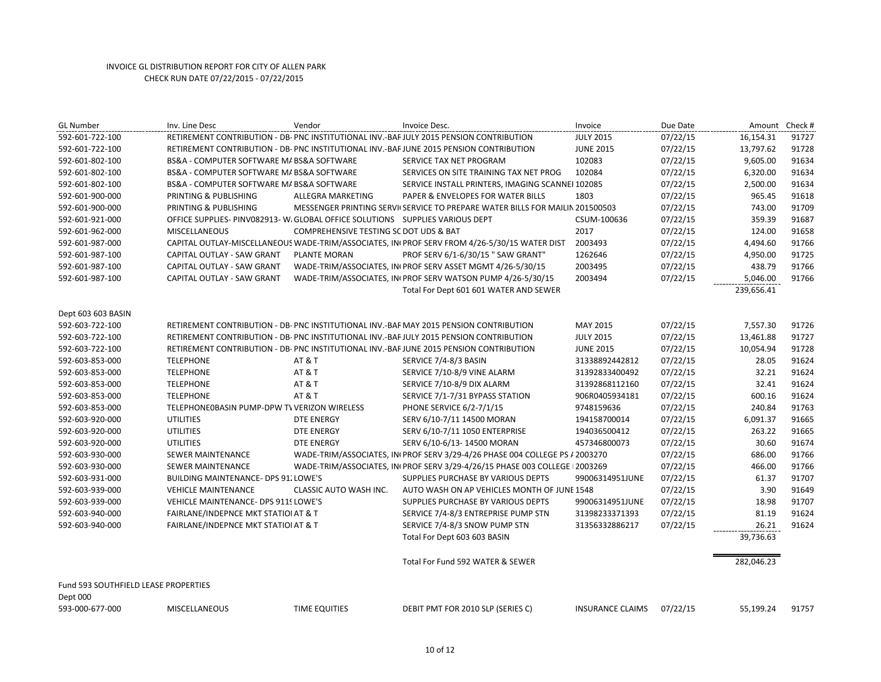| <b>GL Number</b>                     | Inv. Line Desc                                                                 | Vendor                                 | Invoice Desc.                                                                                 | Invoice                 | Due Date | Amount Check # |                |
|--------------------------------------|--------------------------------------------------------------------------------|----------------------------------------|-----------------------------------------------------------------------------------------------|-------------------------|----------|----------------|----------------|
| 592-601-722-100                      |                                                                                |                                        | RETIREMENT CONTRIBUTION - DB- PNC INSTITUTIONAL INV.-BAF JULY 2015 PENSION CONTRIBUTION       | <b>JULY 2015</b>        | 07/22/15 | 16,154.31      | 91727          |
| 592-601-722-100                      |                                                                                |                                        | RETIREMENT CONTRIBUTION - DB- PNC INSTITUTIONAL INV.-BAF JUNE 2015 PENSION CONTRIBUTION       | <b>JUNE 2015</b>        | 07/22/15 | 13,797.62      | 91728          |
| 592-601-802-100                      | BS&A - COMPUTER SOFTWARE M/ BS&A SOFTWARE                                      |                                        | SERVICE TAX NET PROGRAM                                                                       | 102083                  | 07/22/15 | 9,605.00       | 91634          |
| 592-601-802-100                      | BS&A - COMPUTER SOFTWARE M/ BS&A SOFTWARE                                      |                                        | SERVICES ON SITE TRAINING TAX NET PROG                                                        | 102084                  | 07/22/15 | 6,320.00       | 91634          |
| 592-601-802-100                      | BS&A - COMPUTER SOFTWARE M/ BS&A SOFTWARE                                      |                                        | SERVICE INSTALL PRINTERS, IMAGING SCANNEI 102085                                              |                         | 07/22/15 | 2,500.00       | 91634          |
| 592-601-900-000                      | PRINTING & PUBLISHING                                                          | ALLEGRA MARKETING                      | PAPER & ENVELOPES FOR WATER BILLS                                                             | 1803                    | 07/22/15 | 965.45         | 91618          |
| 592-601-900-000                      | PRINTING & PUBLISHING                                                          |                                        | MESSENGER PRINTING SERVII SERVICE TO PREPARE WATER BILLS FOR MAILIN 201500503                 |                         | 07/22/15 | 743.00         | 91709          |
| 592-601-921-000                      | OFFICE SUPPLIES- PINV082913- W. GLOBAL OFFICE SOLUTIONS  SUPPLIES VARIOUS DEPT |                                        |                                                                                               | CSUM-100636             | 07/22/15 | 359.39         | 91687          |
| 592-601-962-000                      | <b>MISCELLANEOUS</b>                                                           | COMPREHENSIVE TESTING SC DOT UDS & BAT |                                                                                               | 2017                    | 07/22/15 | 124.00         | 91658          |
| 592-601-987-000                      |                                                                                |                                        | CAPITAL OUTLAY-MISCELLANEOUS WADE-TRIM/ASSOCIATES, INI PROF SERV FROM 4/26-5/30/15 WATER DIST | 2003493                 | 07/22/15 | 4,494.60       | 91766          |
| 592-601-987-100                      | CAPITAL OUTLAY - SAW GRANT                                                     | PLANTE MORAN                           | PROF SERV 6/1-6/30/15 " SAW GRANT"                                                            | 1262646                 | 07/22/15 | 4,950.00       | 91725          |
| 592-601-987-100                      | CAPITAL OUTLAY - SAW GRANT                                                     |                                        | WADE-TRIM/ASSOCIATES, IN PROF SERV ASSET MGMT 4/26-5/30/15                                    | 2003495                 | 07/22/15 | 438.79         | 91766          |
| 592-601-987-100                      | CAPITAL OUTLAY - SAW GRANT                                                     |                                        | WADE-TRIM/ASSOCIATES, IN PROF SERV WATSON PUMP 4/26-5/30/15                                   | 2003494                 | 07/22/15 | 5,046.00       | 91766          |
|                                      |                                                                                |                                        | Total For Dept 601 601 WATER AND SEWER                                                        |                         |          | 239,656.41     |                |
|                                      |                                                                                |                                        |                                                                                               |                         |          |                |                |
| Dept 603 603 BASIN                   |                                                                                |                                        |                                                                                               |                         |          |                |                |
| 592-603-722-100                      |                                                                                |                                        | RETIREMENT CONTRIBUTION - DB- PNC INSTITUTIONAL INV.-BAF MAY 2015 PENSION CONTRIBUTION        | MAY 2015                | 07/22/15 | 7,557.30       | 91726          |
| 592-603-722-100                      |                                                                                |                                        | RETIREMENT CONTRIBUTION - DB- PNC INSTITUTIONAL INV.-BAF JULY 2015 PENSION CONTRIBUTION       | <b>JULY 2015</b>        | 07/22/15 | 13,461.88      | 91727          |
| 592-603-722-100                      |                                                                                |                                        | RETIREMENT CONTRIBUTION - DB- PNC INSTITUTIONAL INV.-BAF JUNE 2015 PENSION CONTRIBUTION       | <b>JUNE 2015</b>        | 07/22/15 | 10,054.94      | 91728          |
| 592-603-853-000                      | <b>TELEPHONE</b>                                                               | <b>AT &amp; T</b>                      | SERVICE 7/4-8/3 BASIN                                                                         | 31338892442812          | 07/22/15 | 28.05          | 91624          |
| 592-603-853-000                      | <b>TELEPHONE</b>                                                               | AT&T                                   | SERVICE 7/10-8/9 VINE ALARM                                                                   | 31392833400492          | 07/22/15 | 32.21          | 91624<br>91624 |
| 592-603-853-000                      | <b>TELEPHONE</b>                                                               | <b>AT &amp; T</b>                      | SERVICE 7/10-8/9 DIX ALARM                                                                    | 31392868112160          | 07/22/15 | 32.41          | 91624          |
| 592-603-853-000                      | <b>TELEPHONE</b>                                                               | <b>AT &amp; T</b>                      | SERVICE 7/1-7/31 BYPASS STATION                                                               | 906R0405934181          | 07/22/15 | 600.16         |                |
| 592-603-853-000                      | TELEPHONE0BASIN PUMP-DPW TV VERIZON WIRELESS                                   |                                        | PHONE SERVICE 6/2-7/1/15                                                                      | 9748159636              | 07/22/15 | 240.84         | 91763          |
| 592-603-920-000                      | <b>UTILITIES</b>                                                               | <b>DTE ENERGY</b>                      | SERV 6/10-7/11 14500 MORAN                                                                    | 194158700014            | 07/22/15 | 6,091.37       | 91665          |
| 592-603-920-000                      | <b>UTILITIES</b>                                                               | <b>DTE ENERGY</b>                      | SERV 6/10-7/11 1050 ENTERPRISE                                                                | 194036500412            | 07/22/15 | 263.22         | 91665          |
| 592-603-920-000                      | <b>UTILITIES</b>                                                               | <b>DTE ENERGY</b>                      | SERV 6/10-6/13-14500 MORAN                                                                    | 457346800073            | 07/22/15 | 30.60          | 91674          |
| 592-603-930-000                      | SEWER MAINTENANCE                                                              |                                        | WADE-TRIM/ASSOCIATES, INI PROF SERV 3/29-4/26 PHASE 004 COLLEGE PS / 2003270                  |                         | 07/22/15 | 686.00         | 91766          |
| 592-603-930-000                      | <b>SEWER MAINTENANCE</b>                                                       |                                        | WADE-TRIM/ASSOCIATES, INI PROF SERV 3/29-4/26/15 PHASE 003 COLLEGE   2003269                  |                         | 07/22/15 | 466.00         | 91766          |
| 592-603-931-000                      | BUILDING MAINTENANCE- DPS 91. LOWE'S                                           |                                        | SUPPLIES PURCHASE BY VARIOUS DEPTS                                                            | 99006314951JUNE         | 07/22/15 | 61.37          | 91707          |
| 592-603-939-000                      | <b>VEHICLE MAINTENANCE</b>                                                     | CLASSIC AUTO WASH INC.                 | AUTO WASH ON AP VEHICLES MONTH OF JUNE 1548                                                   |                         | 07/22/15 | 3.90           | 91649          |
| 592-603-939-000                      | <b>VEHICLE MAINTENANCE- DPS 9119 LOWE'S</b>                                    |                                        | SUPPLIES PURCHASE BY VARIOUS DEPTS                                                            | 99006314951JUNE         | 07/22/15 | 18.98          | 91707          |
| 592-603-940-000                      | FAIRLANE/INDEPNCE MKT STATIOI AT & T                                           |                                        | SERVICE 7/4-8/3 ENTREPRISE PUMP STN                                                           | 31398233371393          | 07/22/15 | 81.19          | 91624          |
| 592-603-940-000                      | FAIRLANE/INDEPNCE MKT STATIOI AT & T                                           |                                        | SERVICE 7/4-8/3 SNOW PUMP STN                                                                 | 31356332886217          | 07/22/15 | 26.21          | 91624          |
|                                      |                                                                                |                                        | Total For Dept 603 603 BASIN                                                                  |                         |          | 39,736.63      |                |
|                                      |                                                                                |                                        | Total For Fund 592 WATER & SEWER                                                              |                         |          | 282,046.23     |                |
| Fund 593 SOUTHFIELD LEASE PROPERTIES |                                                                                |                                        |                                                                                               |                         |          |                |                |
| Dept 000                             |                                                                                |                                        |                                                                                               |                         |          |                |                |
| 593-000-677-000                      | <b>MISCELLANEOUS</b>                                                           | <b>TIME EQUITIES</b>                   | DEBIT PMT FOR 2010 SLP (SERIES C)                                                             | <b>INSURANCE CLAIMS</b> | 07/22/15 | 55,199.24      | 91757          |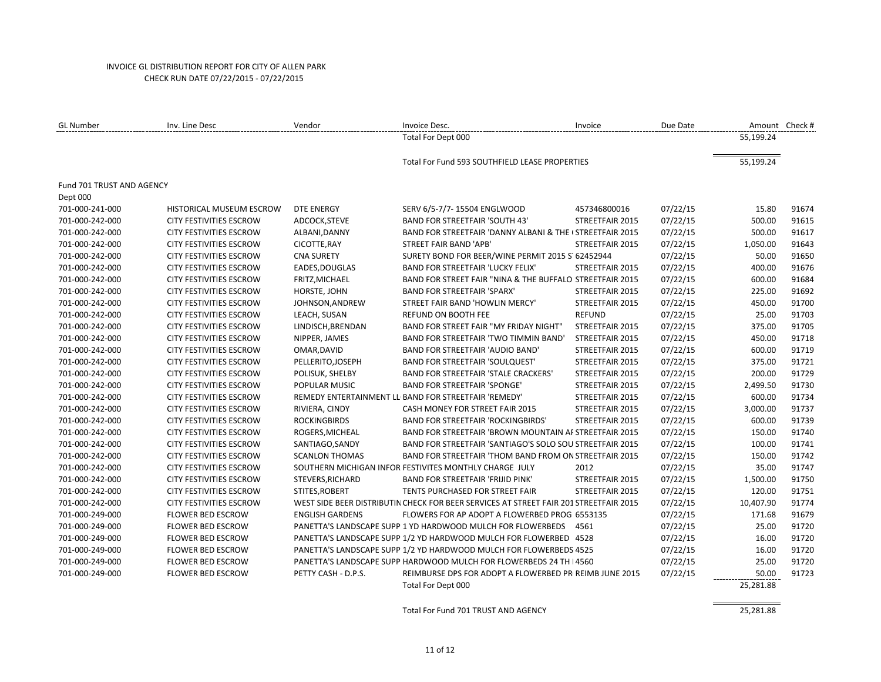| <b>GL Number</b>          | Inv. Line Desc                 | Vendor                 | Invoice Desc.                                                                         | Invoice         | Due Date | Amount Check # |       |
|---------------------------|--------------------------------|------------------------|---------------------------------------------------------------------------------------|-----------------|----------|----------------|-------|
|                           |                                |                        | Total For Dept 000                                                                    |                 |          | 55,199.24      |       |
|                           |                                |                        | Total For Fund 593 SOUTHFIELD LEASE PROPERTIES                                        |                 |          | 55,199.24      |       |
|                           |                                |                        |                                                                                       |                 |          |                |       |
| Fund 701 TRUST AND AGENCY |                                |                        |                                                                                       |                 |          |                |       |
| Dept 000                  |                                |                        |                                                                                       |                 |          |                |       |
| 701-000-241-000           | HISTORICAL MUSEUM ESCROW       | <b>DTE ENERGY</b>      | SERV 6/5-7/7-15504 ENGLWOOD                                                           | 457346800016    | 07/22/15 | 15.80          | 91674 |
| 701-000-242-000           | <b>CITY FESTIVITIES ESCROW</b> | ADCOCK, STEVE          | <b>BAND FOR STREETFAIR 'SOUTH 43'</b>                                                 | STREETFAIR 2015 | 07/22/15 | 500.00         | 91615 |
| 701-000-242-000           | <b>CITY FESTIVITIES ESCROW</b> | ALBANI, DANNY          | BAND FOR STREETFAIR 'DANNY ALBANI & THE (STREETFAIR 2015)                             |                 | 07/22/15 | 500.00         | 91617 |
| 701-000-242-000           | <b>CITY FESTIVITIES ESCROW</b> | CICOTTE, RAY           | STREET FAIR BAND 'APB'                                                                | STREETFAIR 2015 | 07/22/15 | 1,050.00       | 91643 |
| 701-000-242-000           | <b>CITY FESTIVITIES ESCROW</b> | <b>CNA SURETY</b>      | SURETY BOND FOR BEER/WINE PERMIT 2015 S' 62452944                                     |                 | 07/22/15 | 50.00          | 91650 |
| 701-000-242-000           | <b>CITY FESTIVITIES ESCROW</b> | EADES, DOUGLAS         | <b>BAND FOR STREETFAIR 'LUCKY FELIX'</b>                                              | STREETFAIR 2015 | 07/22/15 | 400.00         | 91676 |
| 701-000-242-000           | <b>CITY FESTIVITIES ESCROW</b> | FRITZ, MICHAEL         | BAND FOR STREET FAIR "NINA & THE BUFFALO STREETFAIR 2015                              |                 | 07/22/15 | 600.00         | 91684 |
| 701-000-242-000           | <b>CITY FESTIVITIES ESCROW</b> | HORSTE, JOHN           | <b>BAND FOR STREETFAIR 'SPARX'</b>                                                    | STREETFAIR 2015 | 07/22/15 | 225.00         | 91692 |
| 701-000-242-000           | <b>CITY FESTIVITIES ESCROW</b> | JOHNSON, ANDREW        | STREET FAIR BAND 'HOWLIN MERCY'                                                       | STREETFAIR 2015 | 07/22/15 | 450.00         | 91700 |
| 701-000-242-000           | <b>CITY FESTIVITIES ESCROW</b> | LEACH, SUSAN           | <b>REFUND ON BOOTH FEE</b>                                                            | <b>REFUND</b>   | 07/22/15 | 25.00          | 91703 |
| 701-000-242-000           | <b>CITY FESTIVITIES ESCROW</b> | LINDISCH, BRENDAN      | <b>BAND FOR STREET FAIR "MY FRIDAY NIGHT"</b>                                         | STREETFAIR 2015 | 07/22/15 | 375.00         | 91705 |
| 701-000-242-000           | <b>CITY FESTIVITIES ESCROW</b> | NIPPER, JAMES          | BAND FOR STREETFAIR 'TWO TIMMIN BAND'                                                 | STREETFAIR 2015 | 07/22/15 | 450.00         | 91718 |
| 701-000-242-000           | <b>CITY FESTIVITIES ESCROW</b> | OMAR, DAVID            | <b>BAND FOR STREETFAIR 'AUDIO BAND'</b>                                               | STREETFAIR 2015 | 07/22/15 | 600.00         | 91719 |
| 701-000-242-000           | <b>CITY FESTIVITIES ESCROW</b> | PELLERITO, JOSEPH      | <b>BAND FOR STREETFAIR 'SOULQUEST'</b>                                                | STREETFAIR 2015 | 07/22/15 | 375.00         | 91721 |
| 701-000-242-000           | <b>CITY FESTIVITIES ESCROW</b> | POLISUK, SHELBY        | <b>BAND FOR STREETFAIR 'STALE CRACKERS'</b>                                           | STREETFAIR 2015 | 07/22/15 | 200.00         | 91729 |
| 701-000-242-000           | <b>CITY FESTIVITIES ESCROW</b> | POPULAR MUSIC          | <b>BAND FOR STREETFAIR 'SPONGE'</b>                                                   | STREETFAIR 2015 | 07/22/15 | 2,499.50       | 91730 |
| 701-000-242-000           | <b>CITY FESTIVITIES ESCROW</b> |                        | REMEDY ENTERTAINMENT LL BAND FOR STREETFAIR 'REMEDY'                                  | STREETFAIR 2015 | 07/22/15 | 600.00         | 91734 |
| 701-000-242-000           | <b>CITY FESTIVITIES ESCROW</b> | RIVIERA, CINDY         | CASH MONEY FOR STREET FAIR 2015                                                       | STREETFAIR 2015 | 07/22/15 | 3,000.00       | 91737 |
| 701-000-242-000           | <b>CITY FESTIVITIES ESCROW</b> | <b>ROCKINGBIRDS</b>    | <b>BAND FOR STREETFAIR 'ROCKINGBIRDS'</b>                                             | STREETFAIR 2015 | 07/22/15 | 600.00         | 91739 |
| 701-000-242-000           | <b>CITY FESTIVITIES ESCROW</b> | ROGERS, MICHEAL        | BAND FOR STREETFAIR 'BROWN MOUNTAIN AF STREETFAIR 2015                                |                 | 07/22/15 | 150.00         | 91740 |
| 701-000-242-000           | <b>CITY FESTIVITIES ESCROW</b> | SANTIAGO, SANDY        | BAND FOR STREETFAIR 'SANTIAGO'S SOLO SOU STREETFAIR 2015                              |                 | 07/22/15 | 100.00         | 91741 |
| 701-000-242-000           | <b>CITY FESTIVITIES ESCROW</b> | <b>SCANLON THOMAS</b>  | BAND FOR STREETFAIR 'THOM BAND FROM ON STREETFAIR 2015                                |                 | 07/22/15 | 150.00         | 91742 |
| 701-000-242-000           | <b>CITY FESTIVITIES ESCROW</b> |                        | SOUTHERN MICHIGAN INFOR FESTIVITES MONTHLY CHARGE JULY                                | 2012            | 07/22/15 | 35.00          | 91747 |
| 701-000-242-000           | <b>CITY FESTIVITIES ESCROW</b> | STEVERS, RICHARD       | <b>BAND FOR STREETFAIR 'FRIJID PINK'</b>                                              | STREETFAIR 2015 | 07/22/15 | 1,500.00       | 91750 |
| 701-000-242-000           | <b>CITY FESTIVITIES ESCROW</b> | STITES, ROBERT         | TENTS PURCHASED FOR STREET FAIR                                                       | STREETFAIR 2015 | 07/22/15 | 120.00         | 91751 |
| 701-000-242-000           | CITY FESTIVITIES ESCROW        |                        | WEST SIDE BEER DISTRIBUTIN CHECK FOR BEER SERVICES AT STREET FAIR 201 STREETFAIR 2015 |                 | 07/22/15 | 10,407.90      | 91774 |
| 701-000-249-000           | <b>FLOWER BED ESCROW</b>       | <b>ENGLISH GARDENS</b> | FLOWERS FOR AP ADOPT A FLOWERBED PROG 6553135                                         |                 | 07/22/15 | 171.68         | 91679 |
| 701-000-249-000           | <b>FLOWER BED ESCROW</b>       |                        | PANETTA'S LANDSCAPE SUPP 1 YD HARDWOOD MULCH FOR FLOWERBEDS 4561                      |                 | 07/22/15 | 25.00          | 91720 |
| 701-000-249-000           | <b>FLOWER BED ESCROW</b>       |                        | PANETTA'S LANDSCAPE SUPP 1/2 YD HARDWOOD MULCH FOR FLOWERBED 4528                     |                 | 07/22/15 | 16.00          | 91720 |
| 701-000-249-000           | <b>FLOWER BED ESCROW</b>       |                        | PANETTA'S LANDSCAPE SUPP 1/2 YD HARDWOOD MULCH FOR FLOWERBEDS 4525                    |                 | 07/22/15 | 16.00          | 91720 |
| 701-000-249-000           | <b>FLOWER BED ESCROW</b>       |                        | PANETTA'S LANDSCAPE SUPP HARDWOOD MULCH FOR FLOWERBEDS 24 TH   4560                   |                 | 07/22/15 | 25.00          | 91720 |
| 701-000-249-000           | <b>FLOWER BED ESCROW</b>       | PETTY CASH - D.P.S.    | REIMBURSE DPS FOR ADOPT A FLOWERBED PR REIMB JUNE 2015                                |                 | 07/22/15 | 50.00          | 91723 |
|                           |                                |                        | Total For Dept 000                                                                    |                 |          | 25,281.88      |       |

Total For Fund 701 TRUST AND AGENCY 25,281.88